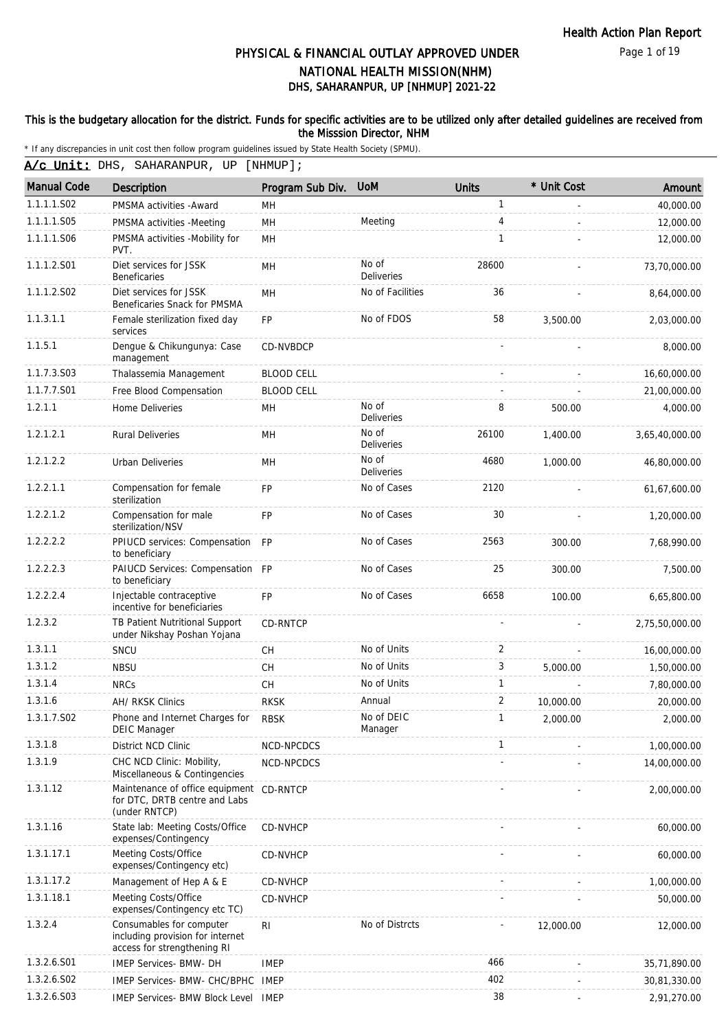Page 1 of 19

# DHS, SAHARANPUR, UP [NHMUP] 2021-22 PHYSICAL & FINANCIAL OUTLAY APPROVED UNDER NATIONAL HEALTH MISSION(NHM)

### This is the budgetary allocation for the district. Funds for specific activities are to be utilized only after detailed guidelines are received from the Misssion Director, NHM

| A/c Unit: DHS, SAHARANPUR, UP [NHMUP]; |  |  |  |
|----------------------------------------|--|--|--|
|----------------------------------------|--|--|--|

| <b>Manual Code</b> | Description                                                                                 | Program Sub Div.  | <b>UoM</b>                 | <b>Units</b>   | * Unit Cost | Amount         |
|--------------------|---------------------------------------------------------------------------------------------|-------------------|----------------------------|----------------|-------------|----------------|
| 1.1.1.1.S02        | PMSMA activities - Award                                                                    | MН                |                            | 1              |             | 40,000.00      |
| 1.1.1.1.S05        | PMSMA activities -Meeting                                                                   | MH                | Meeting                    | 4              |             | 12,000.00      |
| 1.1.1.1.S06        | PMSMA activities -Mobility for<br>PVT.                                                      | MH                |                            | 1              |             | 12,000.00      |
| 1.1.1.2.S01        | Diet services for JSSK<br><b>Beneficaries</b>                                               | MH                | No of<br><b>Deliveries</b> | 28600          |             | 73,70,000.00   |
| 1.1.1.2.S02        | Diet services for JSSK<br>Beneficaries Snack for PMSMA                                      | MH                | No of Facilities           | 36             |             | 8,64,000.00    |
| 1.1.3.1.1          | Female sterilization fixed day<br>services                                                  | <b>FP</b>         | No of FDOS                 | 58             | 3,500.00    | 2,03,000.00    |
| 1.1.5.1            | Dengue & Chikungunya: Case<br>management                                                    | CD-NVBDCP         |                            |                |             | 8,000.00       |
| 1.1.7.3.S03        | Thalassemia Management                                                                      | <b>BLOOD CELL</b> |                            |                |             | 16,60,000.00   |
| 1.1.7.7.S01        | Free Blood Compensation                                                                     | <b>BLOOD CELL</b> |                            |                |             | 21,00,000.00   |
| 1.2.1.1            | Home Deliveries                                                                             | <b>MH</b>         | No of<br><b>Deliveries</b> | 8              | 500.00      | 4,000.00       |
| 1.2.1.2.1          | <b>Rural Deliveries</b>                                                                     | MН                | No of<br><b>Deliveries</b> | 26100          | 1,400.00    | 3,65,40,000.00 |
| 1.2.1.2.2          | Urban Deliveries                                                                            | MH                | No of<br>Deliveries        | 4680           | 1,000.00    | 46,80,000.00   |
| 1.2.2.1.1          | Compensation for female<br>sterilization                                                    | <b>FP</b>         | No of Cases                | 2120           |             | 61,67,600.00   |
| 1.2.2.1.2          | Compensation for male<br>sterilization/NSV                                                  | <b>FP</b>         | No of Cases                | 30             |             | 1,20,000.00    |
| 1.2.2.2.2          | PPIUCD services: Compensation<br>to beneficiary                                             | <b>FP</b>         | No of Cases                | 2563           | 300.00      | 7,68,990.00    |
| 1.2.2.2.3          | PAIUCD Services: Compensation FP<br>to beneficiary                                          |                   | No of Cases                | 25             | 300.00      | 7,500.00       |
| 1.2.2.2.4          | Injectable contraceptive<br>incentive for beneficiaries                                     | <b>FP</b>         | No of Cases                | 6658           | 100.00      | 6,65,800.00    |
| 1.2.3.2            | TB Patient Nutritional Support<br>under Nikshay Poshan Yojana                               | CD-RNTCP          |                            |                |             | 2,75,50,000.00 |
| 1.3.1.1            | SNCU                                                                                        | <b>CH</b>         | No of Units                | $\overline{2}$ |             | 16,00,000.00   |
| 1.3.1.2            | <b>NBSU</b>                                                                                 | CH                | No of Units                | 3              | 5,000.00    | 1,50,000.00    |
| 1.3.1.4            | <b>NRCs</b>                                                                                 | CH                | No of Units                | $\mathbf{1}$   |             | 7,80,000.00    |
| 1.3.1.6            | AH/ RKSK Clinics                                                                            | <b>RKSK</b>       | Annual                     | $\overline{2}$ | 10,000.00   | 20,000.00      |
| 1.3.1.7.S02        | Phone and Internet Charges for<br><b>DEIC Manager</b>                                       | <b>RBSK</b>       | No of DEIC<br>Manager      | 1              | 2,000.00    | 2,000.00       |
| 1.3.1.8            | District NCD Clinic                                                                         | NCD-NPCDCS        |                            | 1              |             | 1,00,000.00    |
| 1.3.1.9            | CHC NCD Clinic: Mobility,<br>Miscellaneous & Contingencies                                  | NCD-NPCDCS        |                            |                |             | 14,00,000.00   |
| 1.3.1.12           | Maintenance of office equipment<br>for DTC, DRTB centre and Labs<br>(under RNTCP)           | CD-RNTCP          |                            |                |             | 2,00,000.00    |
| 1.3.1.16           | State lab: Meeting Costs/Office<br>expenses/Contingency                                     | CD-NVHCP          |                            |                |             | 60,000.00      |
| 1.3.1.17.1         | Meeting Costs/Office<br>expenses/Contingency etc)                                           | CD-NVHCP          |                            |                |             | 60,000.00      |
| 1.3.1.17.2         | Management of Hep A & E                                                                     | CD-NVHCP          |                            |                |             | 1,00,000.00    |
| 1.3.1.18.1         | Meeting Costs/Office<br>expenses/Contingency etc TC)                                        | CD-NVHCP          |                            |                |             | 50,000.00      |
| 1.3.2.4            | Consumables for computer<br>including provision for internet<br>access for strengthening RI | RI                | No of Distrcts             |                | 12,000.00   | 12,000.00      |
| 1.3.2.6.S01        | IMEP Services- BMW- DH                                                                      | <b>IMEP</b>       |                            | 466            |             | 35,71,890.00   |
| 1.3.2.6.S02        | IMEP Services- BMW- CHC/BPHC                                                                | <b>IMEP</b>       |                            | 402            |             | 30,81,330.00   |
| 1.3.2.6.S03        | <b>IMEP Services- BMW Block Level</b>                                                       | IMEP              |                            | 38             |             | 2,91,270.00    |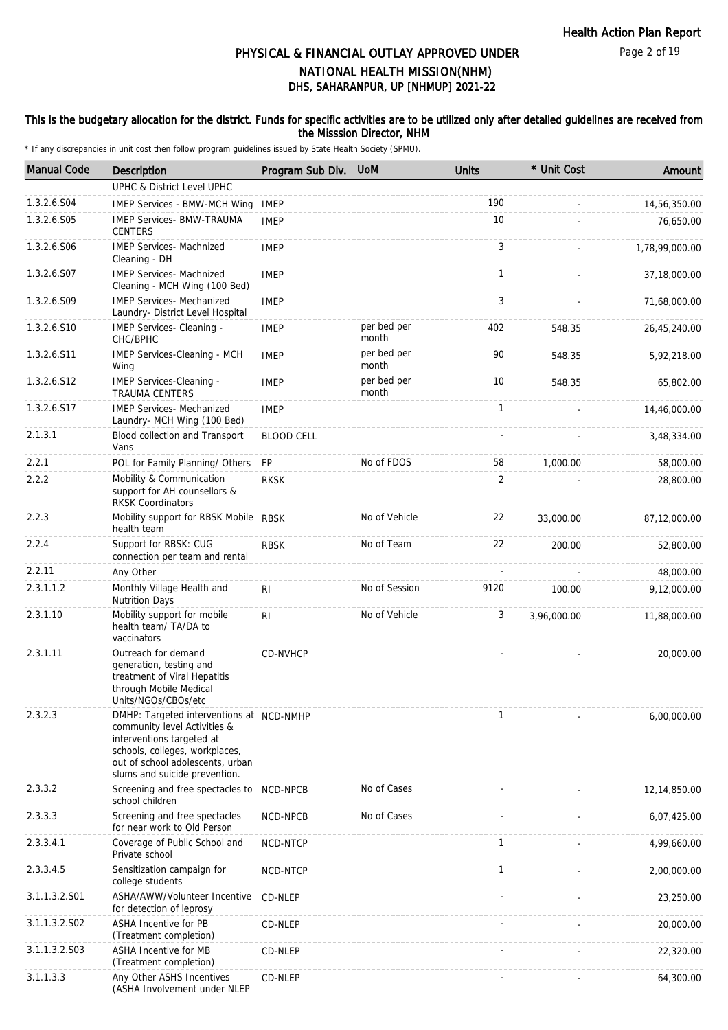Page 2 of 19

# DHS, SAHARANPUR, UP [NHMUP] 2021-22 PHYSICAL & FINANCIAL OUTLAY APPROVED UNDER NATIONAL HEALTH MISSION(NHM)

#### This is the budgetary allocation for the district. Funds for specific activities are to be utilized only after detailed guidelines are received from the Misssion Director, NHM

| <b>Manual Code</b> | <b>Description</b>                                                                                                                                                                                           | Program Sub Div.  | <b>UoM</b>           | <b>Units</b> | * Unit Cost | Amount         |
|--------------------|--------------------------------------------------------------------------------------------------------------------------------------------------------------------------------------------------------------|-------------------|----------------------|--------------|-------------|----------------|
|                    | <b>UPHC &amp; District Level UPHC</b>                                                                                                                                                                        |                   |                      |              |             |                |
| 1.3.2.6.S04        | <b>IMEP Services - BMW-MCH Wing</b>                                                                                                                                                                          | <b>IMEP</b>       |                      | 190          |             | 14,56,350.00   |
| 1.3.2.6.S05        | <b>IMEP Services- BMW-TRAUMA</b><br><b>CENTERS</b>                                                                                                                                                           | <b>IMEP</b>       |                      | 10           |             | 76,650.00      |
| 1.3.2.6.S06        | <b>IMEP Services- Machnized</b><br>Cleaning - DH                                                                                                                                                             | <b>IMEP</b>       |                      | 3            |             | 1,78,99,000.00 |
| 1.3.2.6.S07        | <b>IMEP Services- Machnized</b><br>Cleaning - MCH Wing (100 Bed)                                                                                                                                             | <b>IMEP</b>       |                      | $\mathbf{1}$ |             | 37,18,000.00   |
| 1.3.2.6.S09        | <b>IMEP Services- Mechanized</b><br>Laundry- District Level Hospital                                                                                                                                         | <b>IMEP</b>       |                      | 3            |             | 71,68,000.00   |
| 1.3.2.6.S10        | IMEP Services- Cleaning -<br>CHC/BPHC                                                                                                                                                                        | <b>IMEP</b>       | per bed per<br>month | 402          | 548.35      | 26,45,240.00   |
| 1.3.2.6.S11        | IMEP Services-Cleaning - MCH<br>Wing                                                                                                                                                                         | <b>IMEP</b>       | per bed per<br>month | 90           | 548.35      | 5,92,218.00    |
| 1.3.2.6.512        | IMEP Services-Cleaning -<br><b>TRAUMA CENTERS</b>                                                                                                                                                            | <b>IMEP</b>       | per bed per<br>month | 10           | 548.35      | 65,802.00      |
| 1.3.2.6.S17        | <b>IMEP Services- Mechanized</b><br>Laundry- MCH Wing (100 Bed)                                                                                                                                              | <b>IMEP</b>       |                      | $\mathbf{1}$ |             | 14,46,000.00   |
| 2.1.3.1            | Blood collection and Transport<br>Vans                                                                                                                                                                       | <b>BLOOD CELL</b> |                      |              |             | 3,48,334.00    |
| 2.2.1              | POL for Family Planning/ Others                                                                                                                                                                              | <b>FP</b>         | No of FDOS           | 58           | 1,000.00    | 58,000.00      |
| 2.2.2              | Mobility & Communication<br>support for AH counsellors &<br><b>RKSK Coordinators</b>                                                                                                                         | <b>RKSK</b>       |                      | 2            |             | 28,800.00      |
| 2.2.3              | Mobility support for RBSK Mobile RBSK<br>health team                                                                                                                                                         |                   | No of Vehicle        | 22           | 33,000.00   | 87,12,000.00   |
| 2.2.4              | Support for RBSK: CUG<br>connection per team and rental                                                                                                                                                      | <b>RBSK</b>       | No of Team           | 22           | 200.00      | 52,800.00      |
| 2.2.11             | Any Other                                                                                                                                                                                                    |                   |                      |              |             | 48,000.00      |
| 2.3.1.1.2          | Monthly Village Health and<br><b>Nutrition Days</b>                                                                                                                                                          | RI                | No of Session        | 9120         | 100.00      | 9,12,000.00    |
| 2.3.1.10           | Mobility support for mobile<br>health team/ TA/DA to<br>vaccinators                                                                                                                                          | RI                | No of Vehicle        | 3            | 3,96,000.00 | 11,88,000.00   |
| 2.3.1.11           | Outreach for demand<br>generation, testing and<br>treatment of Viral Hepatitis<br>through Mobile Medical<br>Units/NGOs/CBOs/etc                                                                              | CD-NVHCP          |                      |              |             | 20,000.00      |
| 2.3.2.3            | DMHP: Targeted interventions at NCD-NMHP<br>community level Activities &<br>interventions targeted at<br>schools, colleges, workplaces,<br>out of school adolescents, urban<br>slums and suicide prevention. |                   |                      | $\mathbf{1}$ |             | 6,00,000.00    |
| 2.3.3.2            | Screening and free spectacles to NCD-NPCB<br>school children                                                                                                                                                 |                   | No of Cases          |              |             | 12,14,850.00   |
| 2.3.3.3            | Screening and free spectacles<br>for near work to Old Person                                                                                                                                                 | NCD-NPCB          | No of Cases          |              |             | 6,07,425.00    |
| 2.3.3.4.1          | Coverage of Public School and<br>Private school                                                                                                                                                              | NCD-NTCP          |                      | 1            |             | 4,99,660.00    |
| 2.3.3.4.5          | Sensitization campaign for<br>college students                                                                                                                                                               | NCD-NTCP          |                      | $\mathbf{1}$ |             | 2,00,000.00    |
| 3.1.1.3.2.S01      | ASHA/AWW/Volunteer Incentive<br>for detection of leprosy                                                                                                                                                     | CD-NLEP           |                      |              |             | 23,250.00      |
| 3.1.1.3.2.S02      | ASHA Incentive for PB<br>(Treatment completion)                                                                                                                                                              | CD-NLEP           |                      |              |             | 20,000.00      |
| 3.1.1.3.2.S03      | <b>ASHA Incentive for MB</b><br>(Treatment completion)                                                                                                                                                       | CD-NLEP           |                      |              |             | 22,320.00      |
| 3.1.1.3.3          | Any Other ASHS Incentives<br>(ASHA Involvement under NLEP                                                                                                                                                    | CD-NLEP           |                      |              |             | 64,300.00      |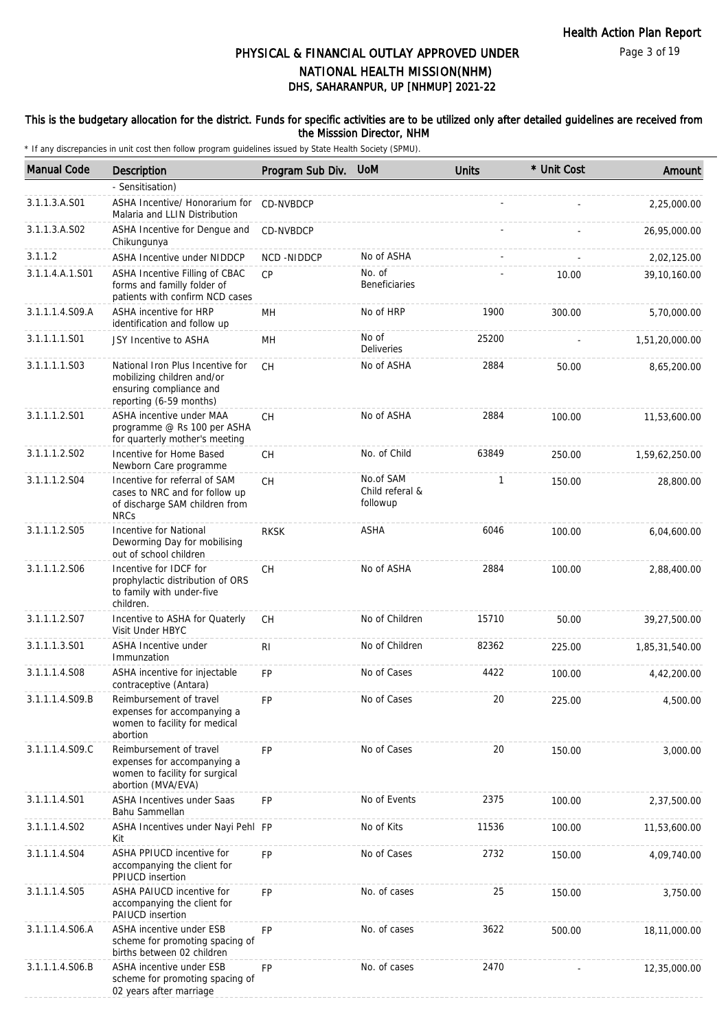Page 3 of 19

# DHS, SAHARANPUR, UP [NHMUP] 2021-22 PHYSICAL & FINANCIAL OUTLAY APPROVED UNDER NATIONAL HEALTH MISSION(NHM)

#### This is the budgetary allocation for the district. Funds for specific activities are to be utilized only after detailed guidelines are received from the Misssion Director, NHM

| <b>Manual Code</b> | Description                                                                                                          | Program Sub Div. | <b>UoM</b>                               | <b>Units</b> | * Unit Cost | Amount         |
|--------------------|----------------------------------------------------------------------------------------------------------------------|------------------|------------------------------------------|--------------|-------------|----------------|
|                    | - Sensitisation)                                                                                                     |                  |                                          |              |             |                |
| 3.1.1.3.A.S01      | ASHA Incentive/ Honorarium for<br>Malaria and LLIN Distribution                                                      | <b>CD-NVBDCP</b> |                                          |              |             | 2,25,000.00    |
| 3.1.1.3.A.S02      | ASHA Incentive for Dengue and<br>Chikungunya                                                                         | CD-NVBDCP        |                                          |              |             | 26,95,000.00   |
| 3.1.1.2            | ASHA Incentive under NIDDCP                                                                                          | NCD-NIDDCP       | No of ASHA                               |              |             | 2,02,125.00    |
| 3.1.1.4.A.1.S01    | ASHA Incentive Filling of CBAC<br>forms and familly folder of<br>patients with confirm NCD cases                     | <b>CP</b>        | No. of<br><b>Beneficiaries</b>           |              | 10.00       | 39,10,160.00   |
| 3.1.1.1.4.S09.A    | <b>ASHA incentive for HRP</b><br>identification and follow up                                                        | MН               | No of HRP                                | 1900         | 300.00      | 5,70,000.00    |
| 3.1.1.1.1.S01      | JSY Incentive to ASHA                                                                                                | MH               | No of<br><b>Deliveries</b>               | 25200        |             | 1,51,20,000.00 |
| 3.1.1.1.1.S03      | National Iron Plus Incentive for<br>mobilizing children and/or<br>ensuring compliance and<br>reporting (6-59 months) | <b>CH</b>        | No of ASHA                               | 2884         | 50.00       | 8,65,200.00    |
| 3.1.1.1.2.S01      | ASHA incentive under MAA<br>programme @ Rs 100 per ASHA<br>for quarterly mother's meeting                            | <b>CH</b>        | No of ASHA                               | 2884         | 100.00      | 11,53,600.00   |
| 3.1.1.1.2.S02      | Incentive for Home Based<br>Newborn Care programme                                                                   | CH               | No. of Child                             | 63849        | 250.00      | 1,59,62,250.00 |
| 3.1.1.1.2.S04      | Incentive for referral of SAM<br>cases to NRC and for follow up<br>of discharge SAM children from<br><b>NRCs</b>     | CH               | No.of SAM<br>Child referal &<br>followup | 1            | 150.00      | 28,800.00      |
| 3.1.1.1.2.S05      | Incentive for National<br>Deworming Day for mobilising<br>out of school children                                     | <b>RKSK</b>      | ASHA                                     | 6046         | 100.00      | 6,04,600.00    |
| 3.1.1.1.2.S06      | Incentive for IDCF for<br>prophylactic distribution of ORS<br>to family with under-five<br>children.                 | CH               | No of ASHA                               | 2884         | 100.00      | 2,88,400.00    |
| 3.1.1.1.2.S07      | Incentive to ASHA for Quaterly<br>Visit Under HBYC                                                                   | <b>CH</b>        | No of Children                           | 15710        | 50.00       | 39,27,500.00   |
| 3.1.1.1.3.S01      | ASHA Incentive under<br>Immunzation                                                                                  | R <sub>l</sub>   | No of Children                           | 82362        | 225.00      | 1,85,31,540.00 |
| 3.1.1.1.4.S08      | ASHA incentive for injectable<br>contraceptive (Antara)                                                              | <b>FP</b>        | No of Cases                              | 4422         | 100.00      | 4,42,200.00    |
| 3.1.1.1.4.S09.B    | Reimbursement of travel<br>expenses for accompanying a<br>women to facility for medical<br>abortion                  | FP               | No of Cases                              | 20           | 225.00      | 4,500.00       |
| 3.1.1.1.4.S09.C    | Reimbursement of travel<br>expenses for accompanying a<br>women to facility for surgical<br>abortion (MVA/EVA)       | <b>FP</b>        | No of Cases                              | 20           | 150.00      | 3,000.00       |
| 3.1.1.1.4.S01      | <b>ASHA Incentives under Saas</b><br>Bahu Sammellan                                                                  | <b>FP</b>        | No of Events                             | 2375         | 100.00      | 2,37,500.00    |
| 3.1.1.1.4.S02      | ASHA Incentives under Nayi Pehl FP<br>Kit                                                                            |                  | No of Kits                               | 11536        | 100.00      | 11,53,600.00   |
| 3.1.1.1.4.S04      | ASHA PPIUCD incentive for<br>accompanying the client for<br>PPIUCD insertion                                         | FP               | No of Cases                              | 2732         | 150.00      | 4,09,740.00    |
| 3.1.1.1.4.S05      | ASHA PAIUCD incentive for<br>accompanying the client for<br>PAIUCD insertion                                         | <b>FP</b>        | No. of cases                             | 25           | 150.00      | 3,750.00       |
| 3.1.1.1.4.S06.A    | ASHA incentive under ESB<br>scheme for promoting spacing of<br>births between 02 children                            | <b>FP</b>        | No. of cases                             | 3622         | 500.00      | 18,11,000.00   |
| 3.1.1.1.4.S06.B    | ASHA incentive under ESB<br>scheme for promoting spacing of<br>02 years after marriage                               | <b>FP</b>        | No. of cases                             | 2470         |             | 12,35,000.00   |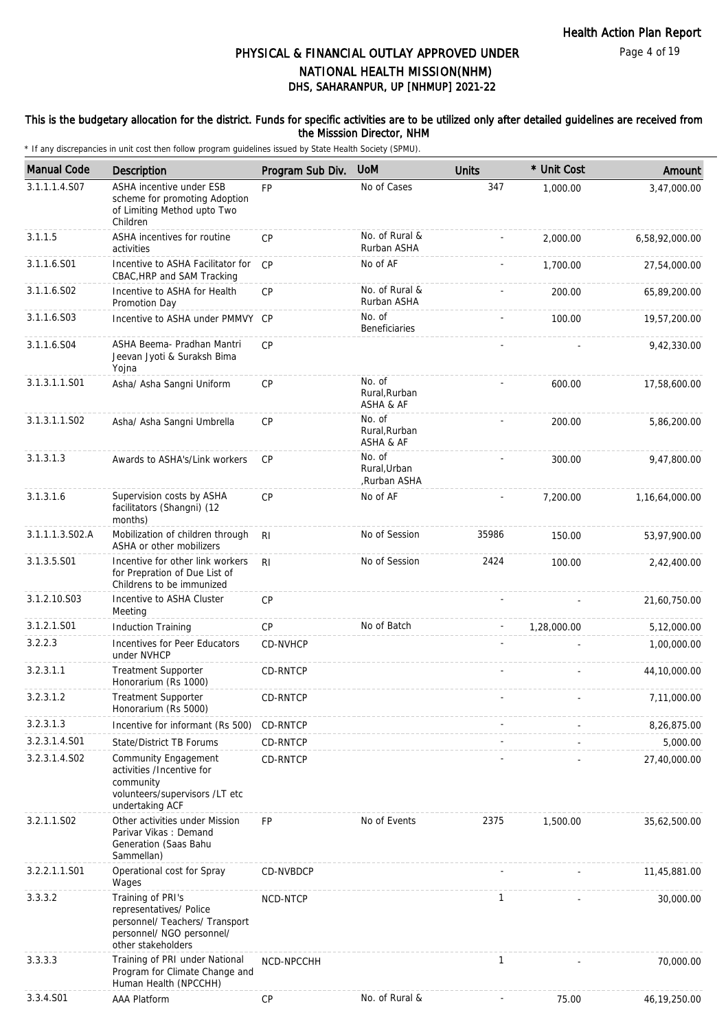### This is the budgetary allocation for the district. Funds for specific activities are to be utilized only after detailed guidelines are received from the Misssion Director, NHM

| <b>Manual Code</b> | Description                                                                                                                       | Program Sub Div. | <b>UoM</b>                            | Units        | * Unit Cost | Amount         |
|--------------------|-----------------------------------------------------------------------------------------------------------------------------------|------------------|---------------------------------------|--------------|-------------|----------------|
| 3.1.1.1.4.S07      | ASHA incentive under ESB<br>scheme for promoting Adoption<br>of Limiting Method upto Two<br>Children                              | <b>FP</b>        | No of Cases                           | 347          | 1,000.00    | 3,47,000.00    |
| 3.1.1.5            | ASHA incentives for routine<br>activities                                                                                         | CP               | No. of Rural &<br>Rurban ASHA         |              | 2.000.00    | 6,58,92,000.00 |
| 3.1.1.6.S01        | Incentive to ASHA Facilitator for<br>CBAC, HRP and SAM Tracking                                                                   | CP               | No of AF                              |              | 1,700.00    | 27,54,000.00   |
| 3.1.1.6.S02        | Incentive to ASHA for Health<br>Promotion Day                                                                                     | CP               | No. of Rural &<br>Rurban ASHA         |              | 200.00      | 65,89,200.00   |
| 3.1.1.6.S03        | Incentive to ASHA under PMMVY CP                                                                                                  |                  | No. of<br><b>Beneficiaries</b>        |              | 100.00      | 19,57,200.00   |
| 3.1.1.6.S04        | ASHA Beema- Pradhan Mantri<br>Jeevan Jyoti & Suraksh Bima<br>Yojna                                                                | CP               |                                       |              |             | 9,42,330.00    |
| 3.1.3.1.1.S01      | Asha/ Asha Sangni Uniform                                                                                                         | CP               | No. of<br>Rural, Rurban<br>ASHA & AF  |              | 600.00      | 17,58,600.00   |
| 3.1.3.1.1.S02      | Asha/ Asha Sangni Umbrella                                                                                                        | CP               | No. of<br>Rural, Rurban<br>ASHA & AF  |              | 200.00      | 5,86,200.00    |
| 3.1.3.1.3          | Awards to ASHA's/Link workers                                                                                                     | <b>CP</b>        | No. of<br>Rural.Urban<br>,Rurban ASHA |              | 300.00      | 9,47,800.00    |
| 3.1.3.1.6          | Supervision costs by ASHA<br>facilitators (Shangni) (12<br>months)                                                                | <b>CP</b>        | No of AF                              |              | 7,200.00    | 1,16,64,000.00 |
| 3.1.1.1.3.S02.A    | Mobilization of children through<br>ASHA or other mobilizers                                                                      | R <sub>l</sub>   | No of Session                         | 35986        | 150.00      | 53,97,900.00   |
| 3.1.3.5.S01        | Incentive for other link workers<br>for Prepration of Due List of<br>Childrens to be immunized                                    | R <sub>l</sub>   | No of Session                         | 2424         | 100.00      | 2,42,400.00    |
| 3.1.2.10.S03       | Incentive to ASHA Cluster<br>Meeting                                                                                              | <b>CP</b>        |                                       |              |             | 21,60,750.00   |
| 3.1.2.1.S01        | <b>Induction Training</b>                                                                                                         | CP               | No of Batch                           |              | 1,28,000.00 | 5,12,000.00    |
| 3.2.2.3            | Incentives for Peer Educators<br>under NVHCP                                                                                      | <b>CD-NVHCP</b>  |                                       |              |             | 1,00,000.00    |
| 3.2.3.1.1          | <b>Treatment Supporter</b><br>Honorarium (Rs 1000)                                                                                | CD-RNTCP         |                                       |              |             | 44,10,000.00   |
| 3.2.3.1.2          | <b>Treatment Supporter</b><br>Honorarium (Rs 5000)                                                                                | CD-RNTCP         |                                       |              |             | 7,11,000.00    |
| 3.2.3.1.3          | Incentive for informant (Rs 500)                                                                                                  | CD-RNTCP         |                                       |              |             | 8,26,875.00    |
| 3.2.3.1.4.S01      | State/District TB Forums                                                                                                          | CD-RNTCP         |                                       |              |             | 5,000.00       |
| 3.2.3.1.4.S02      | Community Engagement<br>activities /Incentive for<br>community<br>volunteers/supervisors /LT etc<br>undertaking ACF               | CD-RNTCP         |                                       |              |             | 27,40,000.00   |
| 3.2.1.1.S02        | Other activities under Mission<br>Parivar Vikas: Demand<br>Generation (Saas Bahu<br>Sammellan)                                    | <b>FP</b>        | No of Events                          | 2375         | 1,500.00    | 35,62,500.00   |
| 3.2.2.1.1.S01      | Operational cost for Spray<br>Wages                                                                                               | CD-NVBDCP        |                                       |              |             | 11,45,881.00   |
| 3.3.3.2            | Training of PRI's<br>representatives/ Police<br>personnel/ Teachers/ Transport<br>personnel/ NGO personnel/<br>other stakeholders | NCD-NTCP         |                                       | $\mathbf{1}$ |             | 30,000.00      |
| 3.3.3.3            | Training of PRI under National<br>Program for Climate Change and<br>Human Health (NPCCHH)                                         | NCD-NPCCHH       |                                       | 1            |             | 70,000.00      |
| 3.3.4.S01          | AAA Platform                                                                                                                      | CP               | No. of Rural &                        |              | 75.00       | 46,19,250.00   |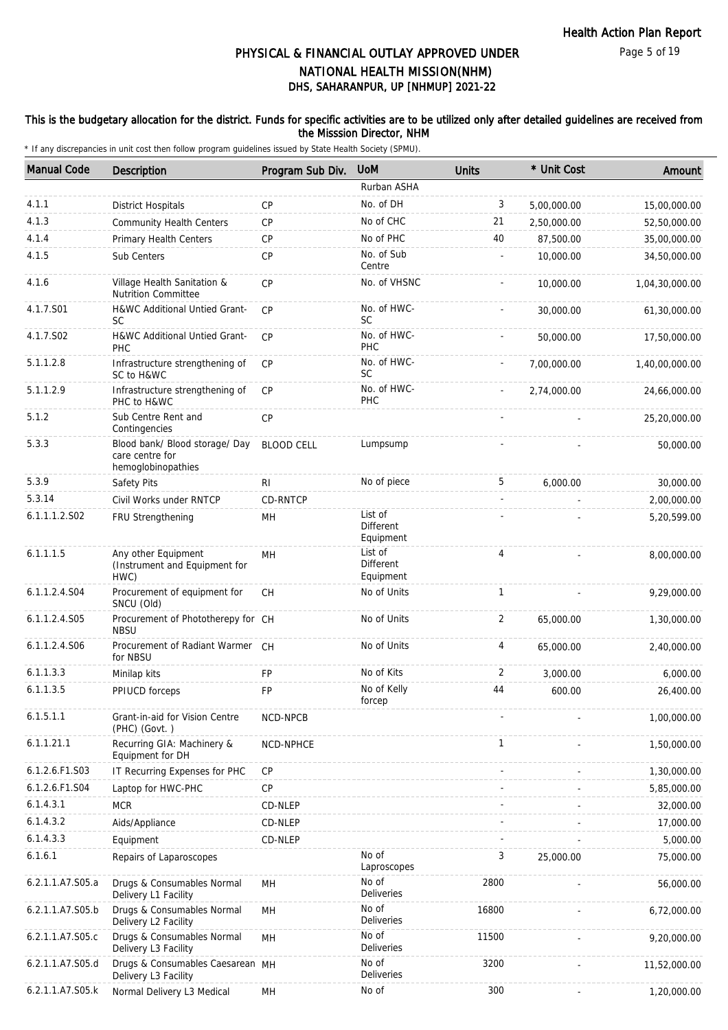### This is the budgetary allocation for the district. Funds for specific activities are to be utilized only after detailed guidelines are received from the Misssion Director, NHM

| <b>Manual Code</b> | <b>Description</b>                                                      | Program Sub Div.  | <b>UoM</b>                        | <b>Units</b>   | * Unit Cost | Amount         |
|--------------------|-------------------------------------------------------------------------|-------------------|-----------------------------------|----------------|-------------|----------------|
|                    |                                                                         |                   | Rurban ASHA                       |                |             |                |
| 4.1.1              | <b>District Hospitals</b>                                               | CP                | No. of DH                         | 3              | 5,00,000.00 | 15,00,000.00   |
| 4.1.3              | <b>Community Health Centers</b>                                         | CP                | No of CHC                         | 21             | 2,50,000.00 | 52,50,000.00   |
| 4.1.4              | Primary Health Centers                                                  | $\mathsf{CP}$     | No of PHC                         | 40             | 87,500.00   | 35,00,000.00   |
| 4.1.5              | Sub Centers                                                             | CP                | No. of Sub<br>Centre              |                | 10,000.00   | 34,50,000.00   |
| 4.1.6              | Village Health Sanitation &<br>Nutrition Committee                      | CP                | No. of VHSNC                      |                | 10,000.00   | 1,04,30,000.00 |
| 4.1.7.S01          | H&WC Additional Untied Grant-<br><b>SC</b>                              | <b>CP</b>         | No. of HWC-<br><b>SC</b>          |                | 30,000.00   | 61,30,000.00   |
| 4.1.7.S02          | H&WC Additional Untied Grant-<br>PHC                                    | CP                | No. of HWC-<br>PHC                |                | 50,000.00   | 17,50,000.00   |
| 5.1.1.2.8          | Infrastructure strengthening of<br>SC to H&WC                           | CP                | No. of HWC-<br>SC                 |                | 7,00,000.00 | 1,40,00,000.00 |
| 5.1.1.2.9          | Infrastructure strengthening of<br>PHC to H&WC                          | <b>CP</b>         | No. of HWC-<br>PHC                |                | 2,74,000.00 | 24,66,000.00   |
| 5.1.2              | Sub Centre Rent and<br>Contingencies                                    | <b>CP</b>         |                                   |                |             | 25,20,000.00   |
| 5.3.3              | Blood bank/ Blood storage/ Day<br>care centre for<br>hemoglobinopathies | <b>BLOOD CELL</b> | Lumpsump                          |                |             | 50,000.00      |
| 5.3.9              | Safety Pits                                                             | RI                | No of piece                       | 5              | 6,000.00    | 30,000.00      |
| 5.3.14             | Civil Works under RNTCP                                                 | CD-RNTCP          |                                   |                |             | 2,00,000.00    |
| 6.1.1.1.2.S02      | FRU Strengthening                                                       | MН                | List of<br>Different<br>Equipment |                |             | 5,20,599.00    |
| 6.1.1.1.5          | Any other Equipment<br>(Instrument and Equipment for<br>HWC)            | MH                | List of<br>Different<br>Equipment | $\overline{4}$ |             | 8,00,000.00    |
| 6.1.1.2.4.S04      | Procurement of equipment for<br>SNCU (Old)                              | CH                | No of Units                       | $\mathbf{1}$   |             | 9,29,000.00    |
| 6.1.1.2.4.S05      | Procurement of Phototherepy for CH<br><b>NBSU</b>                       |                   | No of Units                       | $\overline{2}$ | 65,000.00   | 1,30,000.00    |
| 6.1.1.2.4.S06      | Procurement of Radiant Warmer CH<br>for NBSU                            |                   | No of Units                       | 4              | 65,000.00   | 2,40,000.00    |
| 6.1.1.3.3          | Minilap kits                                                            | <b>FP</b>         | No of Kits                        | 2              | 3,000.00    | 6,000.00       |
| 6.1.1.3.5          | PPIUCD forceps                                                          | FP                | No of Kelly<br>forcep             | 44             | 600.00      | 26,400.00      |
| 6.1.5.1.1          | Grant-in-aid for Vision Centre<br>(PHC) (Govt.)                         | NCD-NPCB          |                                   |                |             | 1,00,000.00    |
| 6.1.1.21.1         | Recurring GIA: Machinery &<br>Equipment for DH                          | NCD-NPHCE         |                                   | $\mathbf{1}$   |             | 1,50,000.00    |
| 6.1.2.6.F1.S03     | IT Recurring Expenses for PHC                                           | CP                |                                   |                |             | 1,30,000.00    |
| 6.1.2.6.F1.S04     | Laptop for HWC-PHC                                                      | <b>CP</b>         |                                   |                |             | 5,85,000.00    |
| 6.1.4.3.1          | <b>MCR</b>                                                              | CD-NLEP           |                                   |                |             | 32,000.00      |
| 6.1.4.3.2          | Aids/Appliance                                                          | CD-NLEP           |                                   |                |             | 17,000.00      |
| 6.1.4.3.3          | Equipment                                                               | CD-NLEP           |                                   |                |             | 5,000.00       |
| 6.1.6.1            | Repairs of Laparoscopes                                                 |                   | No of<br>Laproscopes              | 3              | 25,000.00   | 75,000.00      |
| 6.2.1.1.A7.S05.a   | Drugs & Consumables Normal<br>Delivery L1 Facility                      | <b>MH</b>         | No of<br>Deliveries               | 2800           |             | 56,000.00      |
| 6.2.1.1.A7.S05.b   | Drugs & Consumables Normal<br>Delivery L2 Facility                      | MH                | No of<br>Deliveries               | 16800          |             | 6,72,000.00    |
| 6.2.1.1.A7.S05.c   | Drugs & Consumables Normal<br>Delivery L3 Facility                      | MH                | No of<br>Deliveries               | 11500          |             | 9,20,000.00    |
| 6.2.1.1.A7.S05.d   | Drugs & Consumables Caesarean MH<br>Delivery L3 Facility                |                   | No of<br>Deliveries               | 3200           |             | 11,52,000.00   |
| 6.2.1.1.A7.S05.k   | Normal Delivery L3 Medical                                              | MH                | No of                             | 300            |             | 1,20,000.00    |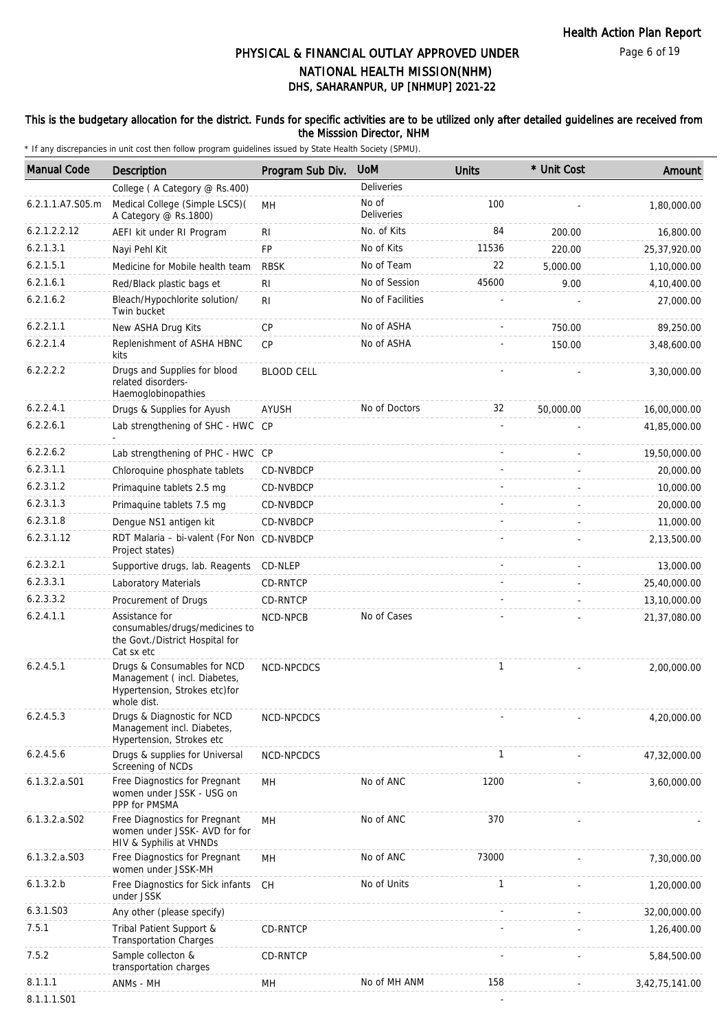#### Page 6 of 19

# DHS, SAHARANPUR, UP [NHMUP] 2021-22 PHYSICAL & FINANCIAL OUTLAY APPROVED UNDER NATIONAL HEALTH MISSION(NHM)

### This is the budgetary allocation for the district. Funds for specific activities are to be utilized only after detailed guidelines are received from the Misssion Director, NHM

| <b>Manual Code</b> | Description                                                                                                | Program Sub Div.  | <b>UoM</b>          | <b>Units</b> | * Unit Cost | Amount         |
|--------------------|------------------------------------------------------------------------------------------------------------|-------------------|---------------------|--------------|-------------|----------------|
|                    | College (A Category @ Rs.400)                                                                              |                   | Deliveries          |              |             |                |
| 6.2.1.1.A7.S05.m   | Medical College (Simple LSCS)(<br>A Category @ Rs.1800)                                                    | MH                | No of<br>Deliveries | 100          |             | 1,80,000.00    |
| 6.2.1.2.2.12       | AEFI kit under RI Program                                                                                  | RI                | No. of Kits         | 84           | 200.00      | 16,800.00      |
| 6.2.1.3.1          | Nayi Pehl Kit                                                                                              | FP                | No of Kits          | 11536        | 220.00      | 25,37,920.00   |
| 6.2.1.5.1          | Medicine for Mobile health team                                                                            | <b>RBSK</b>       | No of Team          | 22           | 5,000.00    | 1,10,000.00    |
| 6.2.1.6.1          | Red/Black plastic bags et                                                                                  | RI                | No of Session       | 45600        | 9.00        | 4,10,400.00    |
| 6.2.1.6.2          | Bleach/Hypochlorite solution/<br>Twin bucket                                                               | RI                | No of Facilities    |              |             | 27,000.00      |
| 6.2.2.1.1          | New ASHA Drug Kits                                                                                         | <b>CP</b>         | No of ASHA          |              | 750.00      | 89,250.00      |
| 6.2.2.1.4          | Replenishment of ASHA HBNC<br>kits                                                                         | <b>CP</b>         | No of ASHA          |              | 150.00      | 3,48,600.00    |
| 6.2.2.2.2          | Drugs and Supplies for blood<br>related disorders-<br>Haemoglobinopathies                                  | <b>BLOOD CELL</b> |                     |              |             | 3,30,000.00    |
| 6.2.2.4.1          | Drugs & Supplies for Ayush                                                                                 | AYUSH             | No of Doctors       | 32           | 50,000.00   | 16,00,000.00   |
| 6.2.2.6.1          | Lab strengthening of SHC - HWC CP                                                                          |                   |                     |              |             | 41,85,000.00   |
| 6.2.2.6.2          | Lab strengthening of PHC - HWC CP                                                                          |                   |                     |              |             | 19,50,000.00   |
| 6.2.3.1.1          | Chloroquine phosphate tablets                                                                              | CD-NVBDCP         |                     |              |             | 20,000.00      |
| 6.2.3.1.2          | Primaguine tablets 2.5 mg                                                                                  | CD-NVBDCP         |                     |              |             | 10,000.00      |
| 6.2.3.1.3          | Primaquine tablets 7.5 mg                                                                                  | CD-NVBDCP         |                     |              |             | 20,000.00      |
| 6.2.3.1.8          | Dengue NS1 antigen kit                                                                                     | CD-NVBDCP         |                     |              |             | 11,000.00      |
| 6.2.3.1.12         | RDT Malaria - bi-valent (For Non CD-NVBDCP<br>Project states)                                              |                   |                     |              |             | 2,13,500.00    |
| 6.2.3.2.1          | Supportive drugs, lab. Reagents                                                                            | CD-NLEP           |                     |              |             | 13,000.00      |
| 6.2.3.3.1          | Laboratory Materials                                                                                       | CD-RNTCP          |                     |              |             | 25,40,000.00   |
| 6.2.3.3.2          | Procurement of Drugs                                                                                       | CD-RNTCP          |                     |              |             | 13,10,000.00   |
| 6.2.4.1.1          | Assistance for<br>consumables/drugs/medicines to<br>the Govt./District Hospital for<br>Cat sx etc          | NCD-NPCB          | No of Cases         |              |             | 21,37,080.00   |
| 6.2.4.5.1          | Drugs & Consumables for NCD<br>Management (incl. Diabetes,<br>Hypertension, Strokes etc)for<br>whole dist. | NCD-NPCDCS        |                     | $\mathbf{1}$ |             | 2,00,000.00    |
| 6.2.4.5.3          | Drugs & Diagnostic for NCD<br>Management incl. Diabetes,<br>Hypertension, Strokes etc                      | NCD-NPCDCS        |                     |              |             | 4,20,000.00    |
| 6.2.4.5.6          | Drugs & supplies for Universal<br>Screening of NCDs                                                        | NCD-NPCDCS        |                     | $\mathbf{1}$ |             | 47,32,000.00   |
| $6.1.3.2.a.$ S01   | Free Diagnostics for Pregnant<br>women under JSSK - USG on<br>PPP for PMSMA                                | MH                | No of ANC           | 1200         |             | 3,60,000.00    |
| 6.1.3.2.a.S02      | Free Diagnostics for Pregnant<br>women under JSSK- AVD for for<br>HIV & Syphilis at VHNDs                  | MН                | No of ANC           | 370          |             |                |
| 6.1.3.2.a.S03      | Free Diagnostics for Pregnant<br>women under JSSK-MH                                                       | MН                | No of ANC           | 73000        |             | 7,30,000.00    |
| 6.1.3.2.b          | Free Diagnostics for Sick infants<br>under JSSK                                                            | <b>CH</b>         | No of Units         | 1            |             | 1,20,000.00    |
| 6.3.1.S03          | Any other (please specify)                                                                                 |                   |                     |              |             | 32,00,000.00   |
| 7.5.1              | Tribal Patient Support &<br><b>Transportation Charges</b>                                                  | CD-RNTCP          |                     |              |             | 1,26,400.00    |
| 7.5.2              | Sample collecton &<br>transportation charges                                                               | CD-RNTCP          |                     |              |             | 5,84,500.00    |
| 8.1.1.1            | ANMs - MH                                                                                                  | МH                | No of MH ANM        | 158          |             | 3,42,75,141.00 |
| 8.1.1.1.S01        |                                                                                                            |                   |                     |              |             |                |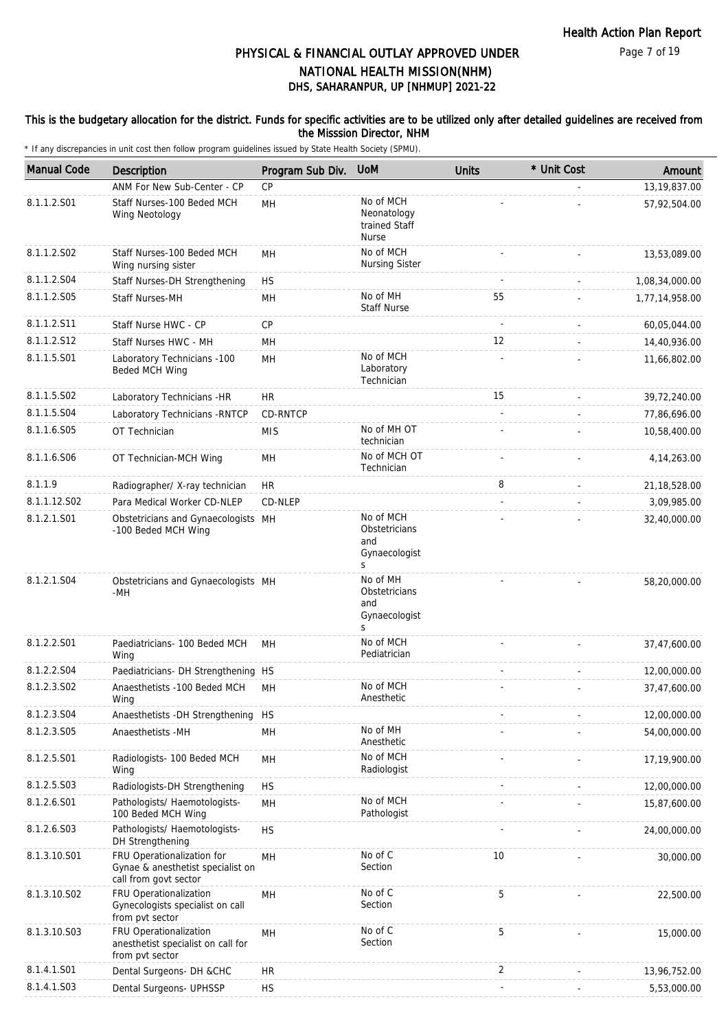### This is the budgetary allocation for the district. Funds for specific activities are to be utilized only after detailed guidelines are received from the Misssion Director, NHM

| <b>Manual Code</b>      | Description                                                                              | Program Sub Div. | <b>UoM</b>                                                | <b>Units</b>   | * Unit Cost | Amount         |
|-------------------------|------------------------------------------------------------------------------------------|------------------|-----------------------------------------------------------|----------------|-------------|----------------|
|                         | ANM For New Sub-Center - CP                                                              | CP               |                                                           |                |             | 13, 19, 837.00 |
| 8.1.1.2.S01             | Staff Nurses-100 Beded MCH<br>Wing Neotology                                             | MH               | No of MCH<br>Neonatology<br>trained Staff<br><b>Nurse</b> |                |             | 57,92,504.00   |
| 8.1.1.2.S02             | Staff Nurses-100 Beded MCH<br>Wing nursing sister                                        | MH               | No of MCH<br><b>Nursing Sister</b>                        |                |             | 13,53,089.00   |
| 8.1.1.2.S04             | Staff Nurses-DH Strengthening                                                            | <b>HS</b>        |                                                           |                |             | 1,08,34,000.00 |
| 8.1.1.2.S05             | Staff Nurses-MH                                                                          | MH               | No of MH<br><b>Staff Nurse</b>                            | 55             |             | 1,77,14,958.00 |
| 8.1.1.2.S11             | Staff Nurse HWC - CP                                                                     | CP               |                                                           | $\overline{a}$ |             | 60,05,044.00   |
| 8.1.1.2.S12             | Staff Nurses HWC - MH                                                                    | MH               |                                                           | 12             |             | 14,40,936.00   |
| 8.1.1.5.S01             | Laboratory Technicians -100<br>Beded MCH Wing                                            | MH               | No of MCH<br>Laboratory<br>Technician                     |                |             | 11,66,802.00   |
| 8.1.1.5.S02             | Laboratory Technicians -HR                                                               | HR               |                                                           | 15             |             | 39,72,240.00   |
| 8.1.1.5.S04             | Laboratory Technicians - RNTCP                                                           | CD-RNTCP         |                                                           |                |             | 77,86,696.00   |
| 8.1.1.6.S05             | OT Technician                                                                            | <b>MIS</b>       | No of MH OT<br>technician                                 |                |             | 10,58,400.00   |
| 8.1.1.6.S06             | OT Technician-MCH Wing                                                                   | MH               | No of MCH OT<br>Technician                                |                |             | 4, 14, 263.00  |
| 8.1.1.9                 | Radiographer/ X-ray technician                                                           | HR               |                                                           | 8              |             | 21, 18, 528.00 |
| 8.1.1.12.S02            | Para Medical Worker CD-NLEP                                                              | CD-NLEP          |                                                           |                |             | 3,09,985.00    |
| 8.1.2.1.S01             | Obstetricians and Gynaecologists MH<br>-100 Beded MCH Wing                               |                  | No of MCH<br>Obstetricians<br>and<br>Gynaecologist<br>S   |                |             | 32,40,000.00   |
| 8.1.2.1.S04             | Obstetricians and Gynaecologists MH<br>-MH                                               |                  | No of MH<br>Obstetricians<br>and<br>Gynaecologist<br>S    |                |             | 58,20,000.00   |
| 8.1.2.2.S01             | Paediatricians- 100 Beded MCH<br>Wing                                                    | MH               | No of MCH<br>Pediatrician                                 |                |             | 37,47,600.00   |
| 8.1.2.2.S04             | Paediatricians- DH Strengthening HS                                                      |                  |                                                           |                |             | 12,00,000.00   |
| 8.1.2.3.SO <sub>2</sub> | Anaesthetists -100 Beded MCH<br>Wing                                                     | MH               | No of MCH<br>Anesthetic                                   |                |             | 37,47,600.00   |
| 8.1.2.3.S04             | Anaesthetists - DH Strengthening HS                                                      |                  |                                                           |                |             | 12,00,000.00   |
| 8.1.2.3.S05             | Anaesthetists -MH                                                                        | MH               | No of MH<br>Anesthetic                                    |                |             | 54,00,000.00   |
| 8.1.2.5.S01             | Radiologists- 100 Beded MCH<br>Wing                                                      | MH               | No of MCH<br>Radiologist                                  |                |             | 17,19,900.00   |
| 8.1.2.5.S03             | Radiologists-DH Strengthening                                                            | <b>HS</b>        |                                                           |                |             | 12,00,000.00   |
| 8.1.2.6.S01             | Pathologists/ Haemotologists-<br>100 Beded MCH Wing                                      | MН               | No of MCH<br>Pathologist                                  |                |             | 15,87,600.00   |
| 8.1.2.6.S03             | Pathologists/ Haemotologists-<br>DH Strengthening                                        | <b>HS</b>        |                                                           |                |             | 24,00,000.00   |
| 8.1.3.10.S01            | FRU Operationalization for<br>Gynae & anesthetist specialist on<br>call from govt sector | MН               | No of C<br>Section                                        | 10             |             | 30,000.00      |
| 8.1.3.10.S02            | FRU Operationalization<br>Gynecologists specialist on call<br>from pvt sector            | MН               | No of C<br>Section                                        | 5              |             | 22,500.00      |
| 8.1.3.10.S03            | FRU Operationalization<br>anesthetist specialist on call for<br>from pvt sector          | MH               | No of C<br>Section                                        | 5              |             | 15,000.00      |
| 8.1.4.1.S01             | Dental Surgeons- DH &CHC                                                                 | <b>HR</b>        |                                                           | 2              |             | 13,96,752.00   |
| 8.1.4.1.S03             | Dental Surgeons- UPHSSP                                                                  | <b>HS</b>        |                                                           |                |             | 5,53,000.00    |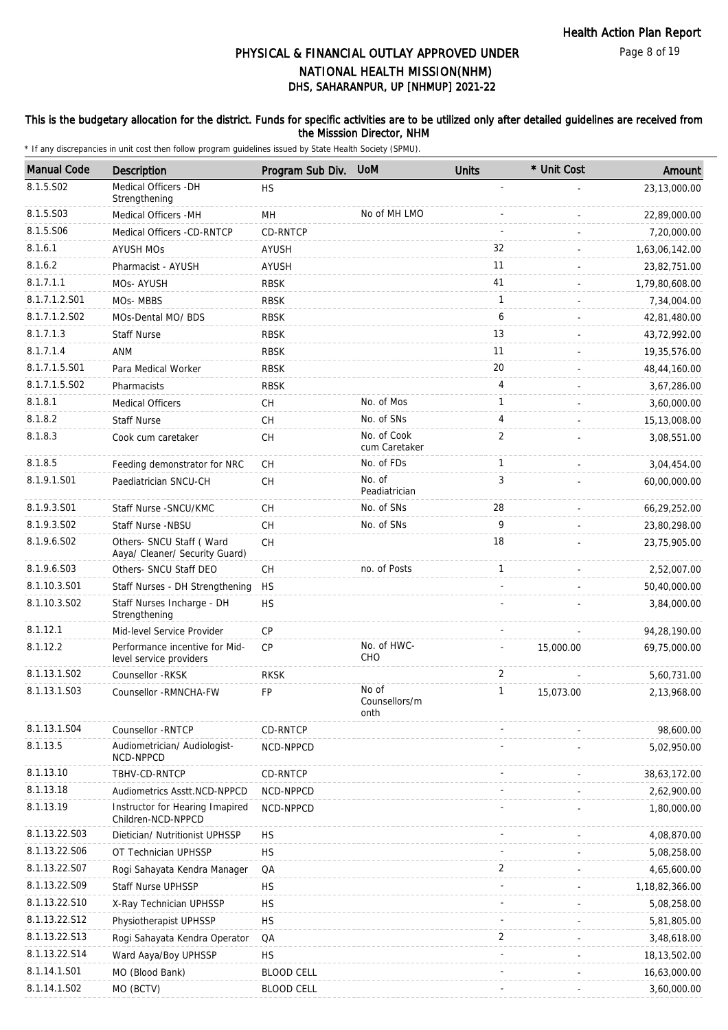### This is the budgetary allocation for the district. Funds for specific activities are to be utilized only after detailed guidelines are received from the Misssion Director, NHM

| <b>Manual Code</b> | Description                                                | Program Sub Div.  | <b>UoM</b>                     | <b>Units</b>   | * Unit Cost | Amount         |
|--------------------|------------------------------------------------------------|-------------------|--------------------------------|----------------|-------------|----------------|
| 8.1.5.S02          | Medical Officers - DH<br>Strengthening                     | <b>HS</b>         |                                |                |             | 23,13,000.00   |
| 8.1.5.S03          | Medical Officers -MH                                       | MH                | No of MH LMO                   |                |             | 22,89,000.00   |
| 8.1.5.S06          | Medical Officers -CD-RNTCP                                 | <b>CD-RNTCP</b>   |                                |                |             | 7,20,000.00    |
| 8.1.6.1            | <b>AYUSH MOs</b>                                           | AYUSH             |                                | 32             |             | 1,63,06,142.00 |
| 8.1.6.2            | Pharmacist - AYUSH                                         | <b>AYUSH</b>      |                                | 11             |             | 23,82,751.00   |
| 8.1.7.1.1          | MOs- AYUSH                                                 | <b>RBSK</b>       |                                | 41             |             | 1,79,80,608.00 |
| 8.1.7.1.2.S01      | MOs-MBBS                                                   | <b>RBSK</b>       |                                | $\mathbf{1}$   |             | 7,34,004.00    |
| 8.1.7.1.2.S02      | MOs-Dental MO/ BDS                                         | <b>RBSK</b>       |                                | 6              |             | 42,81,480.00   |
| 8.1.7.1.3          | <b>Staff Nurse</b>                                         | <b>RBSK</b>       |                                | 13             |             | 43,72,992.00   |
| 8.1.7.1.4          | ANM                                                        | <b>RBSK</b>       |                                | 11             |             | 19,35,576.00   |
| 8.1.7.1.5.S01      | Para Medical Worker                                        | <b>RBSK</b>       |                                | 20             |             | 48,44,160.00   |
| 8.1.7.1.5.S02      | Pharmacists                                                | <b>RBSK</b>       |                                | 4              |             | 3,67,286.00    |
| 8.1.8.1            | <b>Medical Officers</b>                                    | <b>CH</b>         | No. of Mos                     | $\mathbf{1}$   |             | 3,60,000.00    |
| 8.1.8.2            | <b>Staff Nurse</b>                                         | CH                | No. of SNs                     | 4              |             | 15,13,008.00   |
| 8.1.8.3            | Cook cum caretaker                                         | CH                | No. of Cook<br>cum Caretaker   | 2              |             | 3,08,551.00    |
| 8.1.8.5            | Feeding demonstrator for NRC                               | CH                | No. of FDs                     | $\mathbf{1}$   |             | 3,04,454.00    |
| 8.1.9.1.S01        | Paediatrician SNCU-CH                                      | <b>CH</b>         | No. of<br>Peadiatrician        | 3              |             | 60,00,000.00   |
| 8.1.9.3.S01        | Staff Nurse - SNCU/KMC                                     | CH                | No. of SNs                     | 28             |             | 66,29,252.00   |
| 8.1.9.3.SO2        | Staff Nurse -NBSU                                          | <b>CH</b>         | No. of SNs                     | 9              |             | 23,80,298.00   |
| 8.1.9.6.S02        | Others- SNCU Staff (Ward<br>Aaya/ Cleaner/ Security Guard) | CH                |                                | 18             |             | 23,75,905.00   |
| 8.1.9.6.S03        | Others- SNCU Staff DEO                                     | CH                | no. of Posts                   | $\mathbf{1}$   |             | 2,52,007.00    |
| 8.1.10.3.S01       | Staff Nurses - DH Strengthening                            | <b>HS</b>         |                                |                |             | 50,40,000.00   |
| 8.1.10.3.S02       | Staff Nurses Incharge - DH<br>Strengthening                | <b>HS</b>         |                                |                |             | 3,84,000.00    |
| 8.1.12.1           | Mid-level Service Provider                                 | <b>CP</b>         |                                |                |             | 94,28,190.00   |
| 8.1.12.2           | Performance incentive for Mid-<br>level service providers  | <b>CP</b>         | No. of HWC-<br>CHO             |                | 15,000.00   | 69,75,000.00   |
| 8.1.13.1.S02       | Counsellor -RKSK                                           | <b>RKSK</b>       |                                | 2              |             | 5,60,731.00    |
| 8.1.13.1.S03       | Counsellor - RMNCHA-FW                                     | FP                | No of<br>Counsellors/m<br>onth | 1              | 15,073.00   | 2,13,968.00    |
| 8.1.13.1.S04       | Counsellor - RNTCP                                         | <b>CD-RNTCP</b>   |                                |                |             | 98,600.00      |
| 8.1.13.5           | Audiometrician/ Audiologist-<br>NCD-NPPCD                  | NCD-NPPCD         |                                |                |             | 5,02,950.00    |
| 8.1.13.10          | TBHV-CD-RNTCP                                              | CD-RNTCP          |                                |                |             | 38,63,172.00   |
| 8.1.13.18          | Audiometrics Asstt.NCD-NPPCD                               | NCD-NPPCD         |                                |                |             | 2,62,900.00    |
| 8.1.13.19          | Instructor for Hearing Imapired<br>Children-NCD-NPPCD      | NCD-NPPCD         |                                |                |             | 1,80,000.00    |
| 8.1.13.22.S03      | Dietician/ Nutritionist UPHSSP                             | <b>HS</b>         |                                |                |             | 4,08,870.00    |
| 8.1.13.22.S06      | OT Technician UPHSSP                                       | <b>HS</b>         |                                |                |             | 5,08,258.00    |
| 8.1.13.22.S07      | Rogi Sahayata Kendra Manager                               | QA                |                                | $\overline{2}$ |             | 4,65,600.00    |
| 8.1.13.22.S09      | <b>Staff Nurse UPHSSP</b>                                  | <b>HS</b>         |                                |                |             | 1,18,82,366.00 |
| 8.1.13.22.S10      | X-Ray Technician UPHSSP                                    | <b>HS</b>         |                                |                |             | 5,08,258.00    |
| 8.1.13.22.S12      | Physiotherapist UPHSSP                                     | <b>HS</b>         |                                |                |             | 5,81,805.00    |
| 8.1.13.22.S13      | Rogi Sahayata Kendra Operator                              | QA                |                                | 2              |             | 3,48,618.00    |
| 8.1.13.22.S14      | Ward Aaya/Boy UPHSSP                                       | <b>HS</b>         |                                |                |             | 18,13,502.00   |
| 8.1.14.1.S01       | MO (Blood Bank)                                            | <b>BLOOD CELL</b> |                                |                |             | 16,63,000.00   |
| 8.1.14.1.S02       | MO (BCTV)                                                  | <b>BLOOD CELL</b> |                                |                |             | 3,60,000.00    |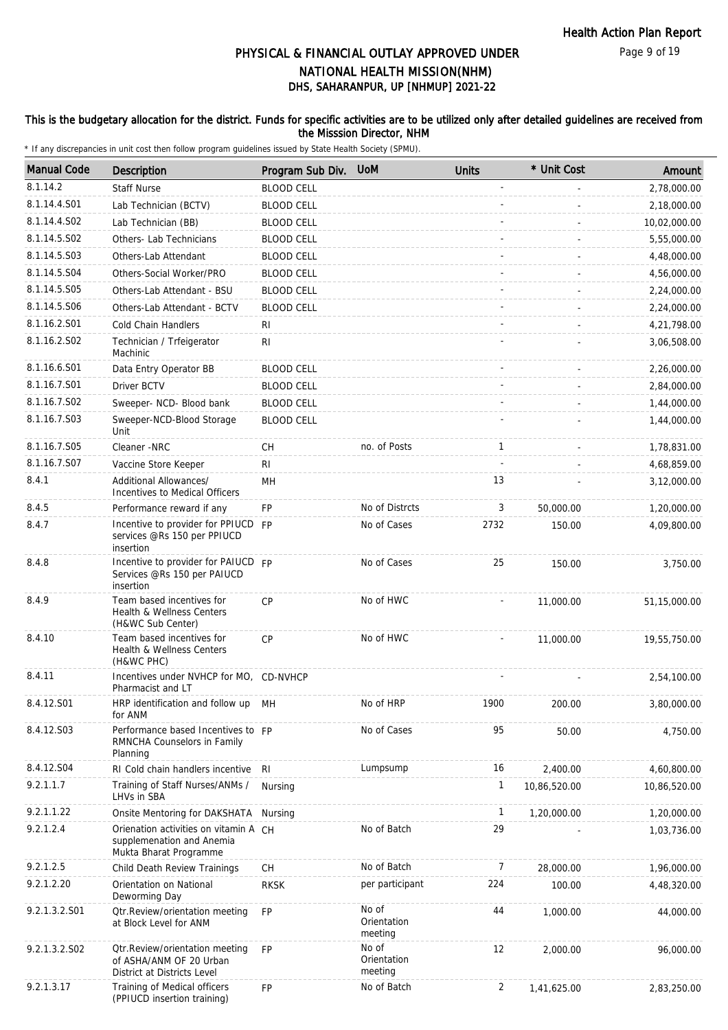Page 9 of 19

# DHS, SAHARANPUR, UP [NHMUP] 2021-22 PHYSICAL & FINANCIAL OUTLAY APPROVED UNDER NATIONAL HEALTH MISSION(NHM)

### This is the budgetary allocation for the district. Funds for specific activities are to be utilized only after detailed guidelines are received from the Misssion Director, NHM

| <b>Manual Code</b> | Description                                                                                  | Program Sub Div.  | <b>UOM</b>                      | <b>Units</b>   | * Unit Cost  | Amount       |
|--------------------|----------------------------------------------------------------------------------------------|-------------------|---------------------------------|----------------|--------------|--------------|
| 8.1.14.2           | <b>Staff Nurse</b>                                                                           | <b>BLOOD CELL</b> |                                 |                |              | 2,78,000.00  |
| 8.1.14.4.S01       | Lab Technician (BCTV)                                                                        | <b>BLOOD CELL</b> |                                 |                |              | 2,18,000.00  |
| 8.1.14.4.S02       | Lab Technician (BB)                                                                          | <b>BLOOD CELL</b> |                                 |                |              | 10,02,000.00 |
| 8.1.14.5.S02       | Others-Lab Technicians                                                                       | <b>BLOOD CELL</b> |                                 |                |              | 5,55,000.00  |
| 8.1.14.5.S03       | Others-Lab Attendant                                                                         | <b>BLOOD CELL</b> |                                 |                |              | 4,48,000.00  |
| 8.1.14.5.S04       | Others-Social Worker/PRO                                                                     | <b>BLOOD CELL</b> |                                 |                |              | 4,56,000.00  |
| 8.1.14.5.S05       | Others-Lab Attendant - BSU                                                                   | <b>BLOOD CELL</b> |                                 |                |              | 2,24,000.00  |
| 8.1.14.5.S06       | Others-Lab Attendant - BCTV                                                                  | <b>BLOOD CELL</b> |                                 |                |              | 2,24,000.00  |
| 8.1.16.2.S01       | Cold Chain Handlers                                                                          | RI                |                                 |                |              | 4,21,798.00  |
| 8.1.16.2.S02       | Technician / Trfeigerator<br>Machinic                                                        | R <sub>l</sub>    |                                 |                |              | 3,06,508.00  |
| 8.1.16.6.S01       | Data Entry Operator BB                                                                       | <b>BLOOD CELL</b> |                                 |                |              | 2,26,000.00  |
| 8.1.16.7.S01       | Driver BCTV                                                                                  | <b>BLOOD CELL</b> |                                 |                |              | 2,84,000.00  |
| 8.1.16.7.S02       | Sweeper- NCD- Blood bank                                                                     | <b>BLOOD CELL</b> |                                 |                |              | 1,44,000.00  |
| 8.1.16.7.S03       | Sweeper-NCD-Blood Storage<br>Unit                                                            | <b>BLOOD CELL</b> |                                 |                |              | 1,44,000.00  |
| 8.1.16.7.S05       | Cleaner -NRC                                                                                 | CH                | no. of Posts                    | $\mathbf{1}$   |              | 1,78,831.00  |
| 8.1.16.7.S07       | Vaccine Store Keeper                                                                         | RI                |                                 |                |              | 4,68,859.00  |
| 8.4.1              | Additional Allowances/<br>Incentives to Medical Officers                                     | MH                |                                 | 13             |              | 3,12,000.00  |
| 8.4.5              | Performance reward if any                                                                    | FP                | No of Distrcts                  | 3              | 50,000.00    | 1,20,000.00  |
| 8.4.7              | Incentive to provider for PPIUCD FP<br>services @Rs 150 per PPIUCD<br>insertion              |                   | No of Cases                     | 2732           | 150.00       | 4,09,800.00  |
| 8.4.8              | Incentive to provider for PAIUCD FP<br>Services @Rs 150 per PAIUCD<br>insertion              |                   | No of Cases                     | 25             | 150.00       | 3,750.00     |
| 8.4.9              | Team based incentives for<br>Health & Wellness Centers<br>(H&WC Sub Center)                  | <b>CP</b>         | No of HWC                       |                | 11,000.00    | 51,15,000.00 |
| 8.4.10             | Team based incentives for<br>Health & Wellness Centers<br>(H&WC PHC)                         | <b>CP</b>         | No of HWC                       |                | 11,000.00    | 19,55,750.00 |
| 8.4.11             | Incentives under NVHCP for MO, CD-NVHCP<br>Pharmacist and LT                                 |                   |                                 |                |              | 2,54,100.00  |
| 8.4.12.S01         | HRP identification and follow up<br>for ANM                                                  | MH                | No of HRP                       | 1900           | 200.00       | 3,80,000.00  |
| 8.4.12.S03         | Performance based Incentives to FP<br>RMNCHA Counselors in Family<br>Planning                |                   | No of Cases                     | 95             | 50.00        | 4,750.00     |
| 8.4.12.S04         | RI Cold chain handlers incentive                                                             | RI                | Lumpsump                        | 16             | 2,400.00     | 4,60,800.00  |
| 9.2.1.1.7          | Training of Staff Nurses/ANMs /<br>LHVs in SBA                                               | Nursing           |                                 | 1              | 10,86,520.00 | 10,86,520.00 |
| 9.2.1.1.22         | Onsite Mentoring for DAKSHATA                                                                | Nursing           |                                 | 1              | 1,20,000.00  | 1,20,000.00  |
| 9.2.1.2.4          | Orienation activities on vitamin A CH<br>supplemenation and Anemia<br>Mukta Bharat Programme |                   | No of Batch                     | 29             |              | 1,03,736.00  |
| 9.2.1.2.5          | Child Death Review Trainings                                                                 | <b>CH</b>         | No of Batch                     | 7              | 28,000.00    | 1,96,000.00  |
| 9.2.1.2.20         | Orientation on National<br>Deworming Day                                                     | <b>RKSK</b>       | per participant                 | 224            | 100.00       | 4,48,320.00  |
| 9.2.1.3.2.S01      | Otr.Review/orientation meeting<br>at Block Level for ANM                                     | FP                | No of<br>Orientation<br>meeting | 44             | 1,000.00     | 44,000.00    |
| 9.2.1.3.2.S02      | Otr.Review/orientation meeting<br>of ASHA/ANM OF 20 Urban<br>District at Districts Level     | <b>FP</b>         | No of<br>Orientation<br>meeting | 12             | 2,000.00     | 96,000.00    |
| 9.2.1.3.17         | Training of Medical officers<br>(PPIUCD insertion training)                                  | FP                | No of Batch                     | $\overline{2}$ | 1,41,625.00  | 2,83,250.00  |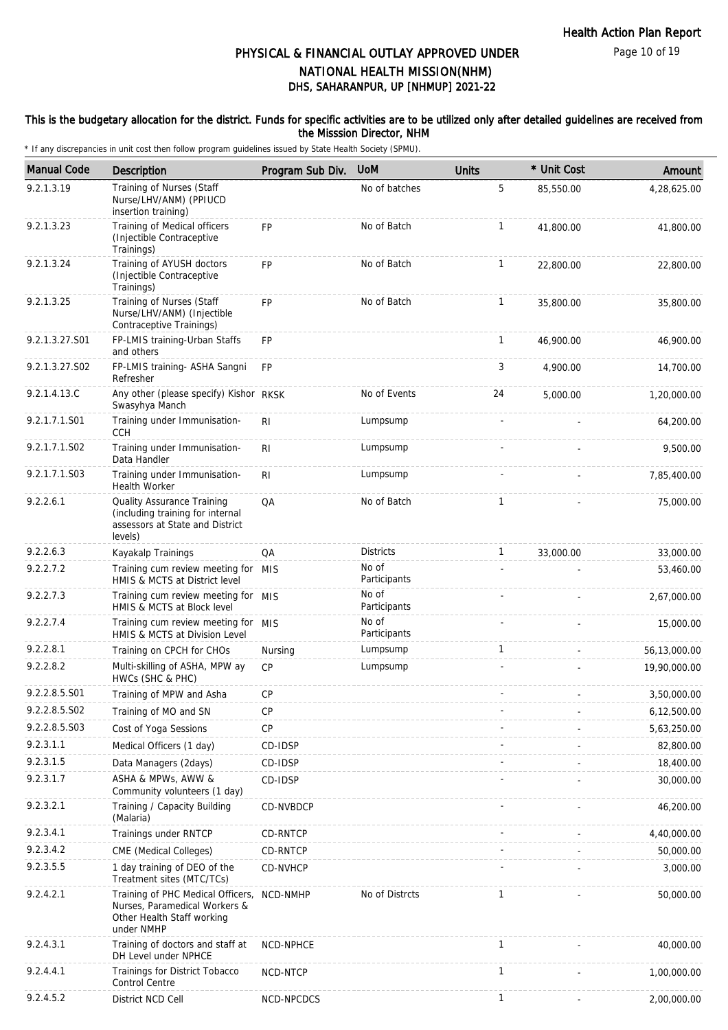Page 10 of 19

# DHS, SAHARANPUR, UP [NHMUP] 2021-22 PHYSICAL & FINANCIAL OUTLAY APPROVED UNDER NATIONAL HEALTH MISSION(NHM)

#### This is the budgetary allocation for the district. Funds for specific activities are to be utilized only after detailed guidelines are received from the Misssion Director, NHM

| <b>Manual Code</b> | <b>Description</b>                                                                                             | Program Sub Div. | <b>UoM</b>            | <b>Units</b> | * Unit Cost | Amount       |
|--------------------|----------------------------------------------------------------------------------------------------------------|------------------|-----------------------|--------------|-------------|--------------|
| 9.2.1.3.19         | Training of Nurses (Staff<br>Nurse/LHV/ANM) (PPIUCD<br>insertion training)                                     |                  | No of batches         | 5            | 85,550.00   | 4,28,625.00  |
| 9.2.1.3.23         | Training of Medical officers<br>(Injectible Contraceptive<br>Trainings)                                        | <b>FP</b>        | No of Batch           | $\mathbf{1}$ | 41,800.00   | 41,800.00    |
| 9.2.1.3.24         | Training of AYUSH doctors<br>(Injectible Contraceptive<br>Trainings)                                           | <b>FP</b>        | No of Batch           | $\mathbf{1}$ | 22,800.00   | 22,800.00    |
| 9.2.1.3.25         | Training of Nurses (Staff<br>Nurse/LHV/ANM) (Injectible<br>Contraceptive Trainings)                            | <b>FP</b>        | No of Batch           | $\mathbf{1}$ | 35,800.00   | 35,800.00    |
| 9.2.1.3.27.S01     | FP-LMIS training-Urban Staffs<br>and others                                                                    | <b>FP</b>        |                       | $\mathbf{1}$ | 46,900.00   | 46,900.00    |
| 9.2.1.3.27.S02     | FP-LMIS training- ASHA Sangni<br>Refresher                                                                     | <b>FP</b>        |                       | 3            | 4,900.00    | 14,700.00    |
| 9.2.1.4.13.C       | Any other (please specify) Kishor RKSK<br>Swasyhya Manch                                                       |                  | No of Events          | 24           | 5,000.00    | 1,20,000.00  |
| 9.2.1.7.1.S01      | Training under Immunisation-<br><b>CCH</b>                                                                     | R <sub>1</sub>   | Lumpsump              |              |             | 64,200.00    |
| 9.2.1.7.1.S02      | Training under Immunisation-<br>Data Handler                                                                   | R <sub>1</sub>   | Lumpsump              |              |             | 9,500.00     |
| 9.2.1.7.1.S03      | Training under Immunisation-<br><b>Health Worker</b>                                                           | <b>RI</b>        | Lumpsump              |              |             | 7,85,400.00  |
| 9.2.2.6.1          | Quality Assurance Training<br>(including training for internal<br>assessors at State and District<br>levels)   | QA               | No of Batch           | $\mathbf{1}$ |             | 75,000.00    |
| 9.2.2.6.3          | Kayakalp Trainings                                                                                             | QA               | <b>Districts</b>      | $\mathbf{1}$ | 33,000.00   | 33,000.00    |
| 9.2.2.7.2          | Training cum review meeting for MIS<br>HMIS & MCTS at District level                                           |                  | No of<br>Participants |              |             | 53,460.00    |
| 9.2.2.7.3          | Training cum review meeting for MIS<br>HMIS & MCTS at Block level                                              |                  | No of<br>Participants |              |             | 2,67,000.00  |
| 9.2.2.7.4          | Training cum review meeting for MIS<br>HMIS & MCTS at Division Level                                           |                  | No of<br>Participants |              |             | 15,000.00    |
| 9.2.2.8.1          | Training on CPCH for CHOs                                                                                      | Nursing          | Lumpsump              | $\mathbf{1}$ |             | 56,13,000.00 |
| 9.2.2.8.2          | Multi-skilling of ASHA, MPW ay<br>HWCs (SHC & PHC)                                                             | CP               | Lumpsump              |              |             | 19,90,000.00 |
| 9.2.2.8.5.S01      | Training of MPW and Asha                                                                                       | CP               |                       |              |             | 3,50,000.00  |
| 9.2.2.8.5.S02      | Training of MO and SN                                                                                          | СP               |                       |              |             | 6,12,500.00  |
| 9.2.2.8.5.S03      | Cost of Yoga Sessions                                                                                          | <b>CP</b>        |                       |              |             | 5,63,250.00  |
| 9.2.3.1.1          | Medical Officers (1 day)                                                                                       | CD-IDSP          |                       |              |             | 82,800.00    |
| 9.2.3.1.5          | Data Managers (2days)                                                                                          | CD-IDSP          |                       |              |             | 18,400.00    |
| 9.2.3.1.7          | ASHA & MPWs, AWW &<br>Community volunteers (1 day)                                                             | CD-IDSP          |                       |              |             | 30,000.00    |
| 9.2.3.2.1          | Training / Capacity Building<br>(Malaria)                                                                      | CD-NVBDCP        |                       |              |             | 46,200.00    |
| 9.2.3.4.1          | Trainings under RNTCP                                                                                          | CD-RNTCP         |                       |              |             | 4,40,000.00  |
| 9.2.3.4.2          | CME (Medical Colleges)                                                                                         | CD-RNTCP         |                       |              |             | 50,000.00    |
| 9.2.3.5.5          | 1 day training of DEO of the<br>Treatment sites (MTC/TCs)                                                      | CD-NVHCP         |                       |              |             | 3,000.00     |
| 9.2.4.2.1          | Training of PHC Medical Officers,<br>Nurses, Paramedical Workers &<br>Other Health Staff working<br>under NMHP | NCD-NMHP         | No of Distrcts        | $\mathbf{1}$ |             | 50,000.00    |
| 9.2.4.3.1          | Training of doctors and staff at<br>DH Level under NPHCE                                                       | NCD-NPHCE        |                       | $\mathbf{1}$ |             | 40,000.00    |
| 9.2.4.4.1          | Trainings for District Tobacco<br>Control Centre                                                               | NCD-NTCP         |                       | $\mathbf{1}$ |             | 1,00,000.00  |
| 9.2.4.5.2          | District NCD Cell                                                                                              | NCD-NPCDCS       |                       | $\mathbf{1}$ |             | 2,00,000.00  |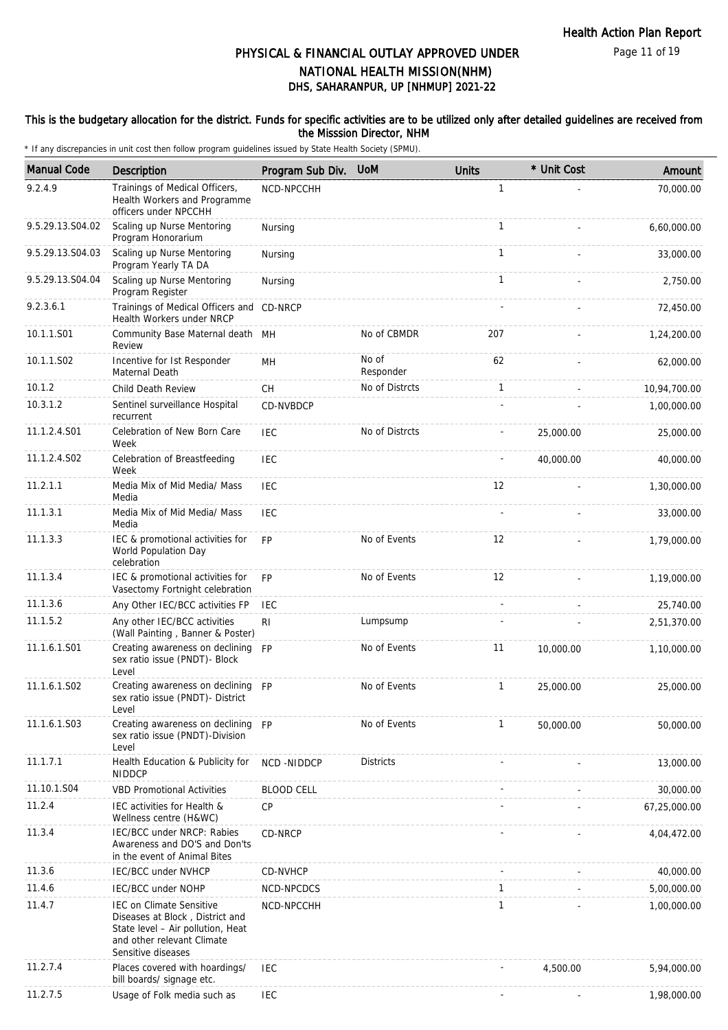Page 11 of 19

# DHS, SAHARANPUR, UP [NHMUP] 2021-22 PHYSICAL & FINANCIAL OUTLAY APPROVED UNDER NATIONAL HEALTH MISSION(NHM)

#### This is the budgetary allocation for the district. Funds for specific activities are to be utilized only after detailed guidelines are received from the Misssion Director, NHM

| <b>Manual Code</b> | <b>Description</b>                                                                                                                                          | Program Sub Div.  | <b>UoM</b>         | <b>Units</b> | * Unit Cost | Amount       |
|--------------------|-------------------------------------------------------------------------------------------------------------------------------------------------------------|-------------------|--------------------|--------------|-------------|--------------|
| 9.2.4.9            | Trainings of Medical Officers,<br>Health Workers and Programme<br>officers under NPCCHH                                                                     | NCD-NPCCHH        |                    | $\mathbf{1}$ |             | 70,000.00    |
| 9.5.29.13.S04.02   | Scaling up Nurse Mentoring<br>Program Honorarium                                                                                                            | Nursing           |                    | $\mathbf{1}$ |             | 6,60,000.00  |
| 9.5.29.13.S04.03   | Scaling up Nurse Mentoring<br>Program Yearly TA DA                                                                                                          | Nursing           |                    | $\mathbf{1}$ |             | 33,000.00    |
| 9.5.29.13.S04.04   | Scaling up Nurse Mentoring<br>Program Register                                                                                                              | Nursing           |                    | $\mathbf{1}$ |             | 2,750.00     |
| 9.2.3.6.1          | Trainings of Medical Officers and CD-NRCP<br>Health Workers under NRCP                                                                                      |                   |                    |              |             | 72,450.00    |
| 10.1.1.S01         | Community Base Maternal death MH<br>Review                                                                                                                  |                   | No of CBMDR        | 207          |             | 1,24,200.00  |
| 10.1.1.S02         | Incentive for Ist Responder<br>Maternal Death                                                                                                               | MН                | No of<br>Responder | 62           |             | 62,000.00    |
| 10.1.2             | Child Death Review                                                                                                                                          | CH                | No of Distrcts     | 1            |             | 10,94,700.00 |
| 10.3.1.2           | Sentinel surveillance Hospital<br>recurrent                                                                                                                 | CD-NVBDCP         |                    |              |             | 1,00,000.00  |
| 11.1.2.4.S01       | Celebration of New Born Care<br>Week                                                                                                                        | <b>IEC</b>        | No of Distrcts     |              | 25,000.00   | 25,000.00    |
| 11.1.2.4.S02       | Celebration of Breastfeeding<br>Week                                                                                                                        | IEC               |                    |              | 40,000.00   | 40,000.00    |
| 11.2.1.1           | Media Mix of Mid Media/ Mass<br>Media                                                                                                                       | IEC               |                    | 12           |             | 1,30,000.00  |
| 11.1.3.1           | Media Mix of Mid Media/ Mass<br>Media                                                                                                                       | IEC               |                    |              |             | 33,000.00    |
| 11.1.3.3           | IEC & promotional activities for<br>World Population Day<br>celebration                                                                                     | <b>FP</b>         | No of Events       | 12           |             | 1,79,000.00  |
| 11.1.3.4           | IEC & promotional activities for<br>Vasectomy Fortnight celebration                                                                                         | <b>FP</b>         | No of Events       | 12           |             | 1,19,000.00  |
| 11.1.3.6           | Any Other IEC/BCC activities FP                                                                                                                             | <b>IEC</b>        |                    |              |             | 25,740.00    |
| 11.1.5.2           | Any other IEC/BCC activities<br>(Wall Painting, Banner & Poster)                                                                                            | R <sub>l</sub>    | Lumpsump           |              |             | 2,51,370.00  |
| 11.1.6.1.S01       | Creating awareness on declining<br>sex ratio issue (PNDT)- Block<br>Level                                                                                   | <b>FP</b>         | No of Events       | 11           | 10,000.00   | 1,10,000.00  |
| 11.1.6.1.S02       | Creating awareness on declining FP<br>sex ratio issue (PNDT)- District<br>Level                                                                             |                   | No of Events       | $\mathbf{1}$ | 25,000.00   | 25,000.00    |
| 11.1.6.1.S03       | Creating awareness on declining FP<br>sex ratio issue (PNDT)-Division<br>Level                                                                              |                   | No of Events       | $\mathbf{1}$ | 50,000.00   | 50,000.00    |
| 11.1.7.1           | Health Education & Publicity for<br><b>NIDDCP</b>                                                                                                           | <b>NCD-NIDDCP</b> | <b>Districts</b>   |              |             | 13,000.00    |
| 11.10.1.S04        | <b>VBD Promotional Activities</b>                                                                                                                           | <b>BLOOD CELL</b> |                    |              |             | 30,000.00    |
| 11.2.4             | IEC activities for Health &<br>Wellness centre (H&WC)                                                                                                       | CP                |                    |              |             | 67,25,000.00 |
| 11.3.4             | IEC/BCC under NRCP: Rabies<br>Awareness and DO'S and Don'ts<br>in the event of Animal Bites                                                                 | CD-NRCP           |                    |              |             | 4,04,472.00  |
| 11.3.6             | <b>IEC/BCC under NVHCP</b>                                                                                                                                  | CD-NVHCP          |                    |              |             | 40,000.00    |
| 11.4.6             | IEC/BCC under NOHP                                                                                                                                          | NCD-NPCDCS        |                    | 1            |             | 5,00,000.00  |
| 11.4.7             | <b>IEC on Climate Sensitive</b><br>Diseases at Block, District and<br>State level - Air pollution, Heat<br>and other relevant Climate<br>Sensitive diseases | NCD-NPCCHH        |                    | 1            |             | 1,00,000.00  |
| 11.2.7.4           | Places covered with hoardings/<br>bill boards/ signage etc.                                                                                                 | <b>IEC</b>        |                    |              | 4,500.00    | 5,94,000.00  |
| 11.2.7.5           | Usage of Folk media such as                                                                                                                                 | <b>IEC</b>        |                    |              |             | 1,98,000.00  |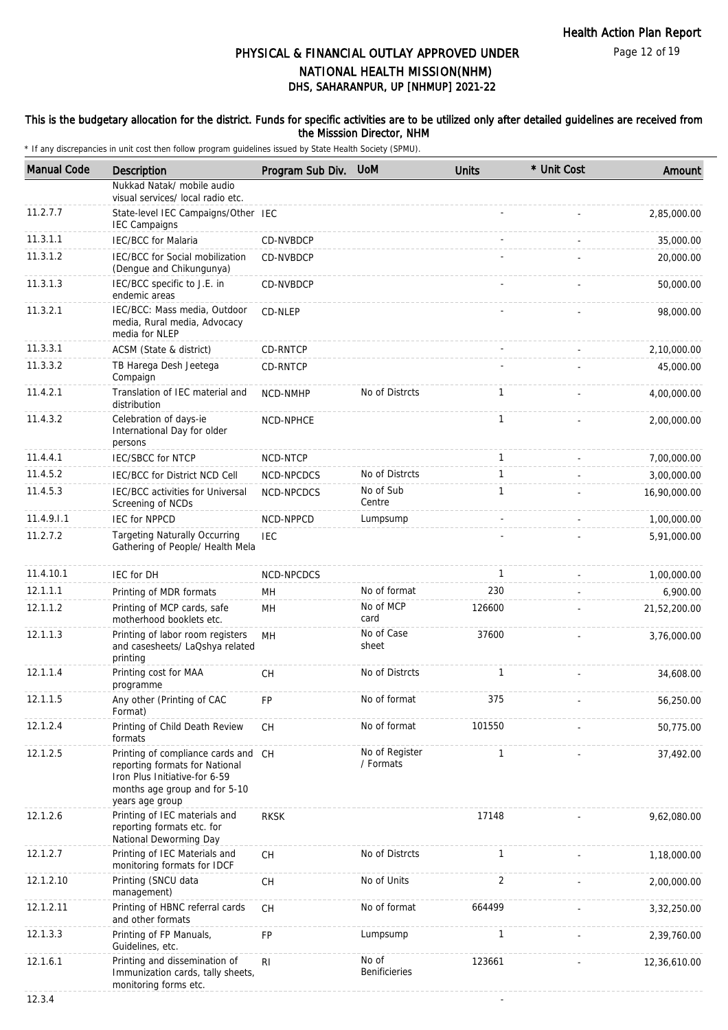#### This is the budgetary allocation for the district. Funds for specific activities are to be utilized only after detailed guidelines are received from the Misssion Director, NHM

| <b>Manual Code</b> | Description                                                                                                                                                | Program Sub Div. UoM |                               | <b>Units</b>   | * Unit Cost | Amount       |
|--------------------|------------------------------------------------------------------------------------------------------------------------------------------------------------|----------------------|-------------------------------|----------------|-------------|--------------|
|                    | Nukkad Natak/ mobile audio<br>visual services/ local radio etc.                                                                                            |                      |                               |                |             |              |
| 11.2.7.7           | State-level IEC Campaigns/Other IEC<br><b>IEC Campaigns</b>                                                                                                |                      |                               |                |             | 2,85,000.00  |
| 11.3.1.1           | <b>IEC/BCC</b> for Malaria                                                                                                                                 | CD-NVBDCP            |                               |                |             | 35,000.00    |
| 11.3.1.2           | IEC/BCC for Social mobilization<br>(Dengue and Chikungunya)                                                                                                | CD-NVBDCP            |                               |                |             | 20,000.00    |
| 11.3.1.3           | IEC/BCC specific to J.E. in<br>endemic areas                                                                                                               | CD-NVBDCP            |                               |                |             | 50,000.00    |
| 11.3.2.1           | IEC/BCC: Mass media, Outdoor<br>media, Rural media, Advocacy<br>media for NLEP                                                                             | CD-NLEP              |                               |                |             | 98,000.00    |
| 11.3.3.1           | ACSM (State & district)                                                                                                                                    | CD-RNTCP             |                               |                |             | 2,10,000.00  |
| 11.3.3.2           | TB Harega Desh Jeetega<br>Compaign                                                                                                                         | CD-RNTCP             |                               |                |             | 45,000.00    |
| 11.4.2.1           | Translation of IEC material and<br>distribution                                                                                                            | NCD-NMHP             | No of Distrcts                | $\mathbf{1}$   |             | 4,00,000.00  |
| 11.4.3.2           | Celebration of days-ie<br>International Day for older<br>persons                                                                                           | NCD-NPHCE            |                               | $\mathbf{1}$   |             | 2,00,000.00  |
| 11.4.4.1           | <b>IEC/SBCC for NTCP</b>                                                                                                                                   | NCD-NTCP             |                               | 1              |             | 7,00,000.00  |
| 11.4.5.2           | <b>IEC/BCC for District NCD Cell</b>                                                                                                                       | NCD-NPCDCS           | No of Distrcts                | $\mathbf{1}$   |             | 3,00,000.00  |
| 11.4.5.3           | IEC/BCC activities for Universal<br>Screening of NCDs                                                                                                      | NCD-NPCDCS           | No of Sub<br>Centre           | $\mathbf{1}$   |             | 16,90,000.00 |
| 11.4.9.1.1         | <b>IEC for NPPCD</b>                                                                                                                                       | NCD-NPPCD            | Lumpsump                      |                |             | 1,00,000.00  |
| 11.2.7.2           | <b>Targeting Naturally Occurring</b><br>Gathering of People/ Health Mela                                                                                   | <b>IEC</b>           |                               |                |             | 5,91,000.00  |
| 11.4.10.1          | <b>IEC for DH</b>                                                                                                                                          | NCD-NPCDCS           |                               | $\mathbf{1}$   |             | 1,00,000.00  |
| 12.1.1.1           | Printing of MDR formats                                                                                                                                    | MH                   | No of format                  | 230            |             | 6,900.00     |
| 12.1.1.2           | Printing of MCP cards, safe<br>motherhood booklets etc.                                                                                                    | MН                   | No of MCP<br>card             | 126600         |             | 21,52,200.00 |
| 12.1.1.3           | Printing of labor room registers<br>and casesheets/ LaQshya related<br>printing                                                                            | MH                   | No of Case<br>sheet           | 37600          |             | 3,76,000.00  |
| 12.1.1.4           | Printing cost for MAA<br>programme                                                                                                                         | <b>CH</b>            | No of Distrcts                | $\mathbf{1}$   |             | 34,608.00    |
| 12.1.1.5           | Any other (Printing of CAC<br>Format)                                                                                                                      | <b>FP</b>            | No of format                  | 375            |             | 56,250.00    |
| 12.1.2.4           | Printing of Child Death Review<br>formats                                                                                                                  | <b>CH</b>            | No of format                  | 101550         |             | 50,775.00    |
| 12.1.2.5           | Printing of compliance cards and CH<br>reporting formats for National<br>Iron Plus Initiative-for 6-59<br>months age group and for 5-10<br>years age group |                      | No of Register<br>/ Formats   | $\mathbf{1}$   |             | 37,492.00    |
| 12.1.2.6           | Printing of IEC materials and<br>reporting formats etc. for<br>National Deworming Day                                                                      | <b>RKSK</b>          |                               | 17148          |             | 9,62,080.00  |
| 12.1.2.7           | Printing of IEC Materials and<br>monitoring formats for IDCF                                                                                               | <b>CH</b>            | No of Distrcts                | $\mathbf{1}$   |             | 1,18,000.00  |
| 12.1.2.10          | Printing (SNCU data<br>management)                                                                                                                         | CH                   | No of Units                   | $\overline{2}$ |             | 2,00,000.00  |
| 12.1.2.11          | Printing of HBNC referral cards<br>and other formats                                                                                                       | CH                   | No of format                  | 664499         |             | 3,32,250.00  |
| 12.1.3.3           | Printing of FP Manuals,<br>Guidelines, etc.                                                                                                                | FP                   | Lumpsump                      | $\mathbf{1}$   |             | 2,39,760.00  |
| 12.1.6.1           | Printing and dissemination of<br>Immunization cards, tally sheets,<br>monitoring forms etc.                                                                | R <sub>l</sub>       | No of<br><b>Benificieries</b> | 123661         |             | 12,36,610.00 |
| 12.3.4             |                                                                                                                                                            |                      |                               |                |             |              |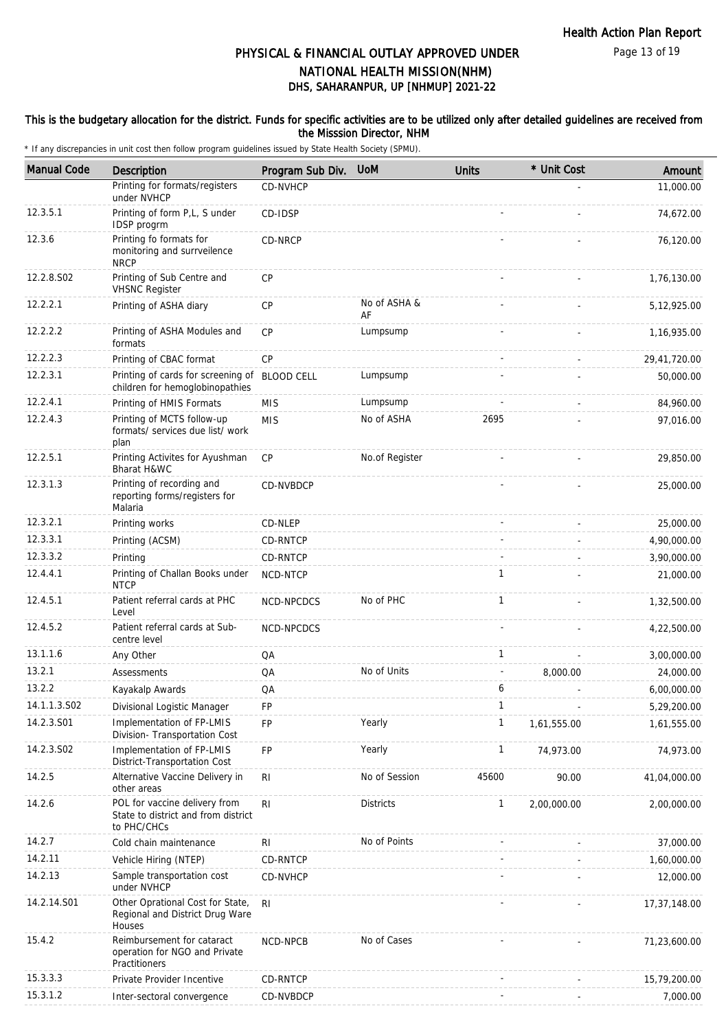Page 13 of 19

# DHS, SAHARANPUR, UP [NHMUP] 2021-22 PHYSICAL & FINANCIAL OUTLAY APPROVED UNDER NATIONAL HEALTH MISSION(NHM)

#### This is the budgetary allocation for the district. Funds for specific activities are to be utilized only after detailed guidelines are received from the Misssion Director, NHM

| <b>Manual Code</b> | <b>Description</b>                                                                  | Program Sub Div.  | <b>UoM</b>         | <b>Units</b> | * Unit Cost | Amount       |
|--------------------|-------------------------------------------------------------------------------------|-------------------|--------------------|--------------|-------------|--------------|
|                    | Printing for formats/registers<br>under NVHCP                                       | CD-NVHCP          |                    |              |             | 11,000.00    |
| 12.3.5.1           | Printing of form P,L, S under<br>IDSP progrm                                        | CD-IDSP           |                    |              |             | 74,672.00    |
| 12.3.6             | Printing fo formats for<br>monitoring and surrveilence<br><b>NRCP</b>               | CD-NRCP           |                    |              |             | 76,120.00    |
| 12.2.8.S02         | Printing of Sub Centre and<br><b>VHSNC Register</b>                                 | <b>CP</b>         |                    |              |             | 1,76,130.00  |
| 12.2.2.1           | Printing of ASHA diary                                                              | <b>CP</b>         | No of ASHA &<br>AF |              |             | 5,12,925.00  |
| 12.2.2.2           | Printing of ASHA Modules and<br>formats                                             | CP                | Lumpsump           |              |             | 1,16,935.00  |
| 12.2.2.3           | Printing of CBAC format                                                             | CP                |                    |              |             | 29,41,720.00 |
| 12.2.3.1           | Printing of cards for screening of<br>children for hemoglobinopathies               | <b>BLOOD CELL</b> | Lumpsump           |              |             | 50,000.00    |
| 12.2.4.1           | Printing of HMIS Formats                                                            | <b>MIS</b>        | Lumpsump           |              |             | 84,960.00    |
| 12.2.4.3           | Printing of MCTS follow-up<br>formats/ services due list/ work<br>plan              | <b>MIS</b>        | No of ASHA         | 2695         |             | 97,016.00    |
| 12.2.5.1           | Printing Activites for Ayushman<br>Bharat H&WC                                      | <b>CP</b>         | No.of Register     |              |             | 29,850.00    |
| 12.3.1.3           | Printing of recording and<br>reporting forms/registers for<br>Malaria               | CD-NVBDCP         |                    |              |             | 25,000.00    |
| 12.3.2.1           | Printing works                                                                      | CD-NLEP           |                    |              |             | 25,000.00    |
| 12.3.3.1           | Printing (ACSM)                                                                     | CD-RNTCP          |                    |              |             | 4,90,000.00  |
| 12.3.3.2           | Printing                                                                            | CD-RNTCP          |                    |              |             | 3,90,000.00  |
| 12.4.4.1           | Printing of Challan Books under<br><b>NTCP</b>                                      | NCD-NTCP          |                    | $\mathbf{1}$ |             | 21,000.00    |
| 12.4.5.1           | Patient referral cards at PHC<br>Level                                              | NCD-NPCDCS        | No of PHC          | $\mathbf{1}$ |             | 1,32,500.00  |
| 12.4.5.2           | Patient referral cards at Sub-<br>centre level                                      | NCD-NPCDCS        |                    |              |             | 4,22,500.00  |
| 13.1.1.6           | Any Other                                                                           | QA                |                    | $\mathbf{1}$ |             | 3,00,000.00  |
| 13.2.1             | Assessments                                                                         | QA                | No of Units        |              | 8,000.00    | 24,000.00    |
| 13.2.2             | Kayakalp Awards                                                                     | QA                |                    | 6            |             | 6,00,000.00  |
| 14.1.1.3.S02       | Divisional Logistic Manager                                                         | FP                |                    | 1            |             | 5,29,200.00  |
| 14.2.3.S01         | Implementation of FP-LMIS<br>Division- Transportation Cost                          | FP                | Yearly             | 1            | 1,61,555.00 | 1,61,555.00  |
| 14.2.3.S02         | Implementation of FP-LMIS<br>District-Transportation Cost                           | <b>FP</b>         | Yearly             | 1            | 74,973.00   | 74,973.00    |
| 14.2.5             | Alternative Vaccine Delivery in<br>other areas                                      | R <sub>l</sub>    | No of Session      | 45600        | 90.00       | 41,04,000.00 |
| 14.2.6             | POL for vaccine delivery from<br>State to district and from district<br>to PHC/CHCs | R <sub>l</sub>    | <b>Districts</b>   | $\mathbf{1}$ | 2,00,000.00 | 2,00,000.00  |
| 14.2.7             | Cold chain maintenance                                                              | R <sub>l</sub>    | No of Points       |              |             | 37,000.00    |
| 14.2.11            | Vehicle Hiring (NTEP)                                                               | CD-RNTCP          |                    |              |             | 1,60,000.00  |
| 14.2.13            | Sample transportation cost<br>under NVHCP                                           | CD-NVHCP          |                    |              |             | 12,000.00    |
| 14.2.14.S01        | Other Oprational Cost for State,<br>Regional and District Drug Ware<br>Houses       | RI.               |                    |              |             | 17,37,148.00 |
| 15.4.2             | Reimbursement for cataract<br>operation for NGO and Private<br>Practitioners        | NCD-NPCB          | No of Cases        |              |             | 71,23,600.00 |
| 15.3.3.3           | Private Provider Incentive                                                          | CD-RNTCP          |                    |              |             | 15,79,200.00 |
| 15.3.1.2           | Inter-sectoral convergence                                                          | CD-NVBDCP         |                    |              |             | 7,000.00     |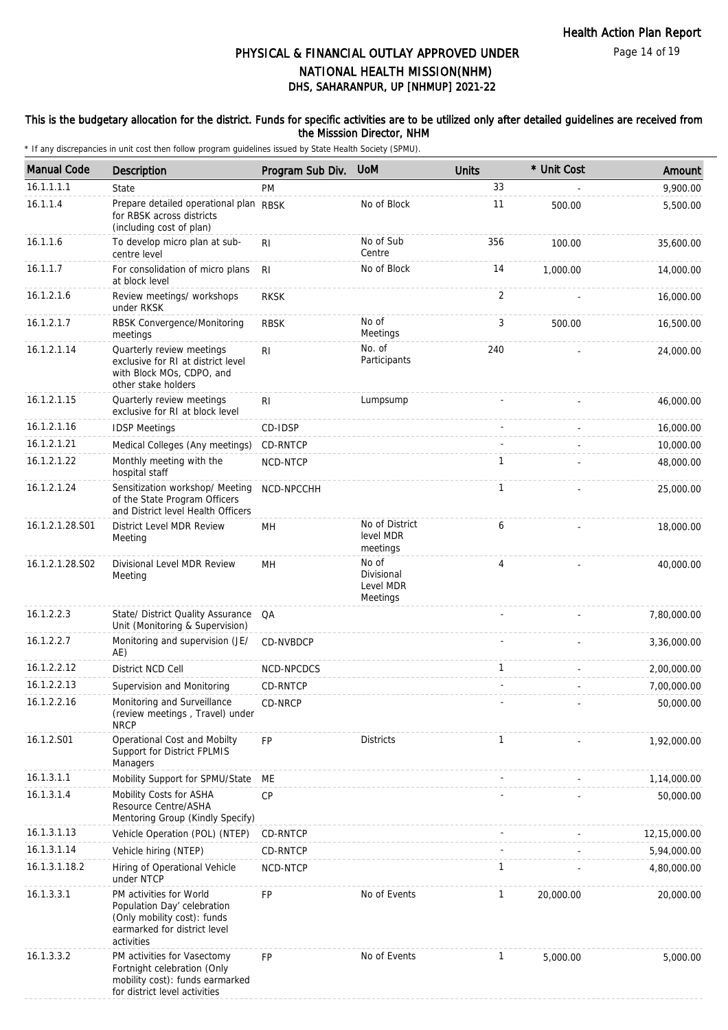### This is the budgetary allocation for the district. Funds for specific activities are to be utilized only after detailed guidelines are received from the Misssion Director, NHM

| <b>Manual Code</b> | Description                                                                                                                         | Program Sub Div. UoM |                                              | <b>Units</b> | * Unit Cost | Amount       |
|--------------------|-------------------------------------------------------------------------------------------------------------------------------------|----------------------|----------------------------------------------|--------------|-------------|--------------|
| 16.1.1.1.1         | State                                                                                                                               | PM                   |                                              | 33           |             | 9,900.00     |
| 16.1.1.4           | Prepare detailed operational plan RBSK<br>for RBSK across districts<br>(including cost of plan)                                     |                      | No of Block                                  | 11           | 500.00      | 5,500.00     |
| 16.1.1.6           | To develop micro plan at sub-<br>centre level                                                                                       | RI                   | No of Sub<br>Centre                          | 356          | 100.00      | 35,600.00    |
| 16.1.1.7           | For consolidation of micro plans<br>at block level                                                                                  | <b>RI</b>            | No of Block                                  | 14           | 1,000.00    | 14,000.00    |
| 16.1.2.1.6         | Review meetings/ workshops<br>under RKSK                                                                                            | <b>RKSK</b>          |                                              | 2            |             | 16,000.00    |
| 16.1.2.1.7         | RBSK Convergence/Monitoring<br>meetings                                                                                             | <b>RBSK</b>          | No of<br>Meetings                            | 3            | 500.00      | 16,500.00    |
| 16.1.2.1.14        | Quarterly review meetings<br>exclusive for RI at district level<br>with Block MOs, CDPO, and<br>other stake holders                 | RI                   | No. of<br>Participants                       | 240          |             | 24,000.00    |
| 16.1.2.1.15        | Quarterly review meetings<br>exclusive for RI at block level                                                                        | R <sub>l</sub>       | Lumpsump                                     |              |             | 46,000.00    |
| 16.1.2.1.16        | <b>IDSP Meetings</b>                                                                                                                | CD-IDSP              |                                              |              |             | 16,000.00    |
| 16.1.2.1.21        | Medical Colleges (Any meetings)                                                                                                     | CD-RNTCP             |                                              |              |             | 10,000.00    |
| 16.1.2.1.22        | Monthly meeting with the<br>hospital staff                                                                                          | NCD-NTCP             |                                              | 1            |             | 48,000.00    |
| 16.1.2.1.24        | Sensitization workshop/ Meeting<br>of the State Program Officers<br>and District level Health Officers                              | NCD-NPCCHH           |                                              | $\mathbf{1}$ |             | 25,000.00    |
| 16.1.2.1.28.S01    | District Level MDR Review<br>Meeting                                                                                                | MН                   | No of District<br>level MDR<br>meetings      | 6            |             | 18,000.00    |
| 16.1.2.1.28.S02    | Divisional Level MDR Review<br>Meeting                                                                                              | MH                   | No of<br>Divisional<br>Level MDR<br>Meetings | 4            |             | 40,000.00    |
| 16.1.2.2.3         | State/ District Quality Assurance<br>Unit (Monitoring & Supervision)                                                                | QA                   |                                              |              |             | 7,80,000.00  |
| 16.1.2.2.7         | Monitoring and supervision (JE/<br>AE)                                                                                              | CD-NVBDCP            |                                              |              |             | 3,36,000.00  |
| 16.1.2.2.12        | District NCD Cell                                                                                                                   | NCD-NPCDCS           |                                              | $\mathbf{1}$ |             | 2,00,000.00  |
| 16.1.2.2.13        | Supervision and Monitoring                                                                                                          | CD-RNTCP             |                                              |              |             | 7,00,000.00  |
| 16.1.2.2.16        | Monitoring and Surveillance<br>(review meetings, Travel) under<br><b>NRCP</b>                                                       | CD-NRCP              |                                              |              |             | 50,000.00    |
| 16.1.2.S01         | Operational Cost and Mobilty<br>Support for District FPLMIS<br>Managers                                                             | <b>FP</b>            | <b>Districts</b>                             | $\mathbf{1}$ |             | 1,92,000.00  |
| 16.1.3.1.1         | Mobility Support for SPMU/State                                                                                                     | МE                   |                                              |              |             | 1,14,000.00  |
| 16.1.3.1.4         | Mobility Costs for ASHA<br>Resource Centre/ASHA<br>Mentoring Group (Kindly Specify)                                                 | CP                   |                                              |              |             | 50,000.00    |
| 16.1.3.1.13        | Vehicle Operation (POL) (NTEP)                                                                                                      | CD-RNTCP             |                                              |              |             | 12,15,000.00 |
| 16.1.3.1.14        | Vehicle hiring (NTEP)                                                                                                               | CD-RNTCP             |                                              |              |             | 5,94,000.00  |
| 16.1.3.1.18.2      | Hiring of Operational Vehicle<br>under NTCP                                                                                         | NCD-NTCP             |                                              | 1            |             | 4,80,000.00  |
| 16.1.3.3.1         | PM activities for World<br>Population Day' celebration<br>(Only mobility cost): funds<br>earmarked for district level<br>activities | FP                   | No of Events                                 | $\mathbf{1}$ | 20,000.00   | 20,000.00    |
| 16.1.3.3.2         | PM activities for Vasectomy<br>Fortnight celebration (Only<br>mobility cost): funds earmarked<br>for district level activities      | <b>FP</b>            | No of Events                                 | $\mathbf{1}$ | 5,000.00    | 5,000.00     |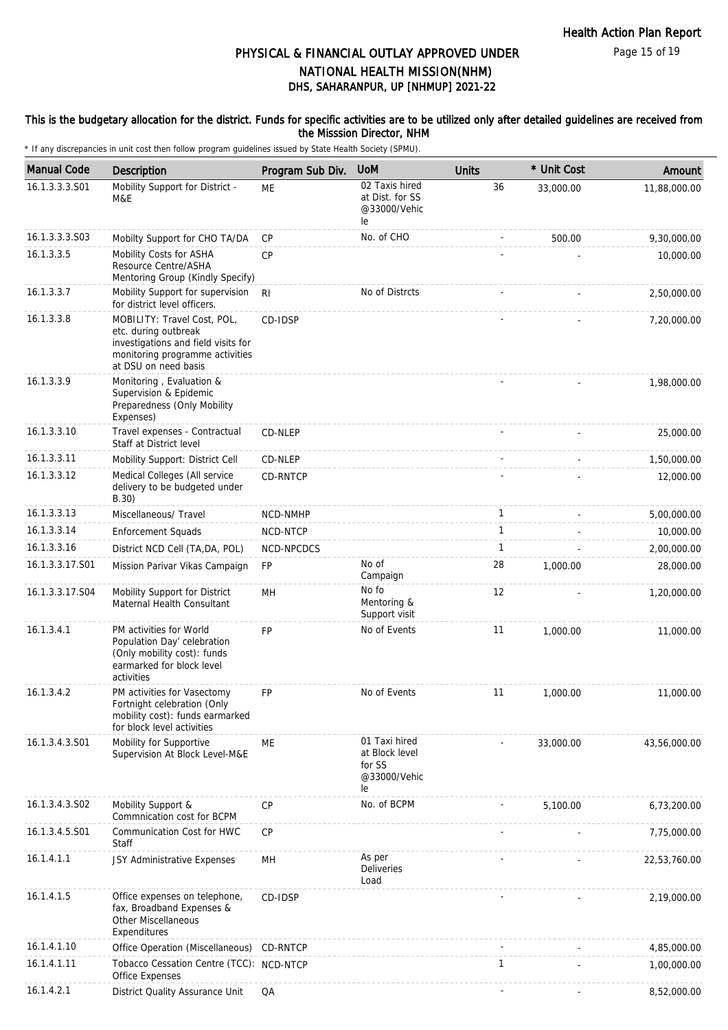#### This is the budgetary allocation for the district. Funds for specific activities are to be utilized only after detailed guidelines are received from the Misssion Director, NHM

| <b>Manual Code</b> | Description                                                                                                                                           | Program Sub Div. | <b>UoM</b>                                                      | <b>Units</b> | * Unit Cost | Amount       |
|--------------------|-------------------------------------------------------------------------------------------------------------------------------------------------------|------------------|-----------------------------------------------------------------|--------------|-------------|--------------|
| 16.1.3.3.3.S01     | Mobility Support for District -<br>M&E                                                                                                                | ME               | 02 Taxis hired<br>at Dist. for SS<br>@33000/Vehic<br>le         | 36           | 33,000.00   | 11,88,000.00 |
| 16.1.3.3.3.S03     | Mobilty Support for CHO TA/DA                                                                                                                         | <b>CP</b>        | No. of CHO                                                      |              | 500.00      | 9,30,000.00  |
| 16.1.3.3.5         | Mobility Costs for ASHA<br>Resource Centre/ASHA<br>Mentoring Group (Kindly Specify)                                                                   | <b>CP</b>        |                                                                 |              |             | 10,000.00    |
| 16.1.3.3.7         | Mobility Support for supervision<br>for district level officers.                                                                                      | R <sub>l</sub>   | No of Distrcts                                                  |              |             | 2,50,000.00  |
| 16.1.3.3.8         | MOBILITY: Travel Cost, POL,<br>etc. during outbreak<br>investigations and field visits for<br>monitoring programme activities<br>at DSU on need basis | CD-IDSP          |                                                                 |              |             | 7,20,000.00  |
| 16.1.3.3.9         | Monitoring, Evaluation &<br>Supervision & Epidemic<br>Preparedness (Only Mobility<br>Expenses)                                                        |                  |                                                                 |              |             | 1,98,000.00  |
| 16.1.3.3.10        | Travel expenses - Contractual<br>Staff at District level                                                                                              | CD-NLEP          |                                                                 |              |             | 25,000.00    |
| 16.1.3.3.11        | Mobility Support: District Cell                                                                                                                       | CD-NLEP          |                                                                 |              |             | 1,50,000.00  |
| 16.1.3.3.12        | Medical Colleges (All service<br>delivery to be budgeted under<br>B.30)                                                                               | CD-RNTCP         |                                                                 |              |             | 12,000.00    |
| 16.1.3.3.13        | Miscellaneous/ Travel                                                                                                                                 | NCD-NMHP         |                                                                 | $\mathbf{1}$ |             | 5,00,000.00  |
| 16.1.3.3.14        | <b>Enforcement Squads</b>                                                                                                                             | NCD-NTCP         |                                                                 | $\mathbf{1}$ |             | 10,000.00    |
| 16.1.3.3.16        | District NCD Cell (TA, DA, POL)                                                                                                                       | NCD-NPCDCS       |                                                                 | $\mathbf{1}$ |             | 2,00,000.00  |
| 16.1.3.3.17.S01    | Mission Parivar Vikas Campaign                                                                                                                        | FP               | No of<br>Campaign                                               | 28           | 1,000.00    | 28,000.00    |
| 16.1.3.3.17.S04    | Mobility Support for District<br>Maternal Health Consultant                                                                                           | MН               | No fo<br>Mentoring &<br>Support visit                           | 12           |             | 1,20,000.00  |
| 16.1.3.4.1         | PM activities for World<br>Population Day' celebration<br>(Only mobility cost): funds<br>earmarked for block level<br>activities                      | FP               | No of Events                                                    | 11           | 1,000.00    | 11,000.00    |
| 16.1.3.4.2         | PM activities for Vasectomy<br>Fortnight celebration (Only<br>mobility cost): funds earmarked<br>for block level activities                           | <b>FP</b>        | No of Events                                                    | 11           | 1,000.00    | 11,000.00    |
| 16.1.3.4.3.S01     | Mobility for Supportive<br>Supervision At Block Level-M&E                                                                                             | ME               | 01 Taxi hired<br>at Block level<br>for SS<br>@33000/Vehic<br>le |              | 33,000.00   | 43,56,000.00 |
| 16.1.3.4.3.S02     | Mobility Support &<br>Commnication cost for BCPM                                                                                                      | <b>CP</b>        | No. of BCPM                                                     |              | 5,100.00    | 6,73,200.00  |
| 16.1.3.4.5.S01     | Communication Cost for HWC<br>Staff                                                                                                                   | CP               |                                                                 |              |             | 7,75,000.00  |
| 16.1.4.1.1         | JSY Administrative Expenses                                                                                                                           | MН               | As per<br>Deliveries<br>Load                                    |              |             | 22,53,760.00 |
| 16.1.4.1.5         | Office expenses on telephone,<br>fax, Broadband Expenses &<br>Other Miscellaneous<br>Expenditures                                                     | CD-IDSP          |                                                                 |              |             | 2,19,000.00  |
| 16.1.4.1.10        | Office Operation (Miscellaneous)                                                                                                                      | CD-RNTCP         |                                                                 |              |             | 4,85,000.00  |
| 16.1.4.1.11        | Tobacco Cessation Centre (TCC): NCD-NTCP<br><b>Office Expenses</b>                                                                                    |                  |                                                                 | 1            |             | 1,00,000.00  |
| 16.1.4.2.1         | District Quality Assurance Unit                                                                                                                       | QA               |                                                                 |              |             | 8,52,000.00  |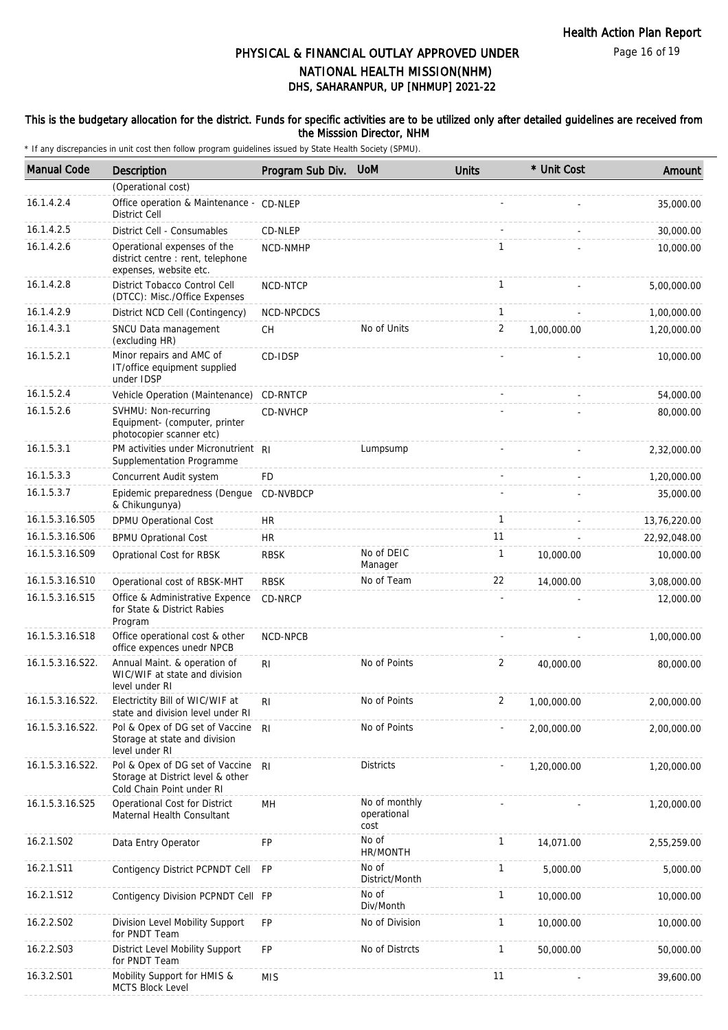Page 16 of 19

# DHS, SAHARANPUR, UP [NHMUP] 2021-22 PHYSICAL & FINANCIAL OUTLAY APPROVED UNDER NATIONAL HEALTH MISSION(NHM)

#### This is the budgetary allocation for the district. Funds for specific activities are to be utilized only after detailed guidelines are received from the Misssion Director, NHM

| <b>Manual Code</b> | Description                                                                                       | Program Sub Div. UoM |                                      | <b>Units</b> | * Unit Cost | Amount       |
|--------------------|---------------------------------------------------------------------------------------------------|----------------------|--------------------------------------|--------------|-------------|--------------|
|                    | (Operational cost)                                                                                |                      |                                      |              |             |              |
| 16.1.4.2.4         | Office operation & Maintenance - CD-NLEP<br><b>District Cell</b>                                  |                      |                                      |              |             | 35,000.00    |
| 16.1.4.2.5         | District Cell - Consumables                                                                       | CD-NLEP              |                                      |              |             | 30,000.00    |
| 16.1.4.2.6         | Operational expenses of the<br>district centre : rent, telephone<br>expenses, website etc.        | NCD-NMHP             |                                      | $\mathbf{1}$ |             | 10,000.00    |
| 16.1.4.2.8         | District Tobacco Control Cell<br>(DTCC): Misc./Office Expenses                                    | NCD-NTCP             |                                      | $\mathbf{1}$ |             | 5,00,000.00  |
| 16.1.4.2.9         | District NCD Cell (Contingency)                                                                   | NCD-NPCDCS           |                                      | $\mathbf{1}$ |             | 1,00,000.00  |
| 16.1.4.3.1         | SNCU Data management<br>(excluding HR)                                                            | СH                   | No of Units                          | 2            | 1,00,000.00 | 1,20,000.00  |
| 16.1.5.2.1         | Minor repairs and AMC of<br>IT/office equipment supplied<br>under IDSP                            | CD-IDSP              |                                      |              |             | 10,000.00    |
| 16.1.5.2.4         | Vehicle Operation (Maintenance)                                                                   | CD-RNTCP             |                                      |              |             | 54,000.00    |
| 16.1.5.2.6         | SVHMU: Non-recurring<br>Equipment- (computer, printer<br>photocopier scanner etc)                 | CD-NVHCP             |                                      |              |             | 80,000.00    |
| 16.1.5.3.1         | PM activities under Micronutrient RI<br>Supplementation Programme                                 |                      | Lumpsump                             |              |             | 2,32,000.00  |
| 16.1.5.3.3         | Concurrent Audit system                                                                           | FD                   |                                      |              |             | 1,20,000.00  |
| 16.1.5.3.7         | Epidemic preparedness (Dengue<br>& Chikungunya)                                                   | <b>CD-NVBDCP</b>     |                                      |              |             | 35,000.00    |
| 16.1.5.3.16.S05    | DPMU Operational Cost                                                                             | HR                   |                                      | $\mathbf{1}$ |             | 13,76,220.00 |
| 16.1.5.3.16.S06    | <b>BPMU Oprational Cost</b>                                                                       | <b>HR</b>            |                                      | 11           |             | 22,92,048.00 |
| 16.1.5.3.16.S09    | Oprational Cost for RBSK                                                                          | <b>RBSK</b>          | No of DEIC<br>Manager                | $\mathbf{1}$ | 10,000.00   | 10,000.00    |
| 16.1.5.3.16.S10    | Operational cost of RBSK-MHT                                                                      | <b>RBSK</b>          | No of Team                           | 22           | 14,000.00   | 3,08,000.00  |
| 16.1.5.3.16.S15    | Office & Administrative Expence<br>for State & District Rabies<br>Program                         | CD-NRCP              |                                      |              |             | 12,000.00    |
| 16.1.5.3.16.S18    | Office operational cost & other<br>office expences unedr NPCB                                     | NCD-NPCB             |                                      |              |             | 1,00,000.00  |
| 16.1.5.3.16.S22.   | Annual Maint. & operation of<br>WIC/WIF at state and division<br>level under RI                   | R <sub>l</sub>       | No of Points                         | 2            | 40,000.00   | 80,000.00    |
| 16.1.5.3.16.S22.   | Electrictity Bill of WIC/WIF at<br>state and division level under RI                              | R <sub>l</sub>       | No of Points                         | 2            | 1,00,000.00 | 2,00,000.00  |
| 16.1.5.3.16.S22.   | Pol & Opex of DG set of Vaccine<br>Storage at state and division<br>level under RI                | R <sub>l</sub>       | No of Points                         |              | 2,00,000.00 | 2,00,000.00  |
| 16.1.5.3.16.S22.   | Pol & Opex of DG set of Vaccine<br>Storage at District level & other<br>Cold Chain Point under RI | R <sub>l</sub>       | <b>Districts</b>                     |              | 1,20,000.00 | 1,20,000.00  |
| 16.1.5.3.16.S25    | Operational Cost for District<br>Maternal Health Consultant                                       | MH                   | No of monthly<br>operational<br>cost |              |             | 1,20,000.00  |
| 16.2.1.S02         | Data Entry Operator                                                                               | FP                   | No of<br>HR/MONTH                    | $\mathbf{1}$ | 14,071.00   | 2,55,259.00  |
| 16.2.1.S11         | Contigency District PCPNDT Cell                                                                   | <b>FP</b>            | No of<br>District/Month              | $\mathbf{1}$ | 5,000.00    | 5,000.00     |
| 16.2.1.S12         | Contigency Division PCPNDT Cell FP                                                                |                      | No of<br>Div/Month                   | $\mathbf{1}$ | 10,000.00   | 10,000.00    |
| 16.2.2.S02         | Division Level Mobility Support<br>for PNDT Team                                                  | FP                   | No of Division                       | $\mathbf{1}$ | 10,000.00   | 10,000.00    |
| 16.2.2.S03         | District Level Mobility Support<br>for PNDT Team                                                  | <b>FP</b>            | No of Distrcts                       | $\mathbf{1}$ | 50,000.00   | 50,000.00    |
| 16.3.2.S01         | Mobility Support for HMIS &<br><b>MCTS Block Level</b>                                            | <b>MIS</b>           |                                      | 11           |             | 39,600.00    |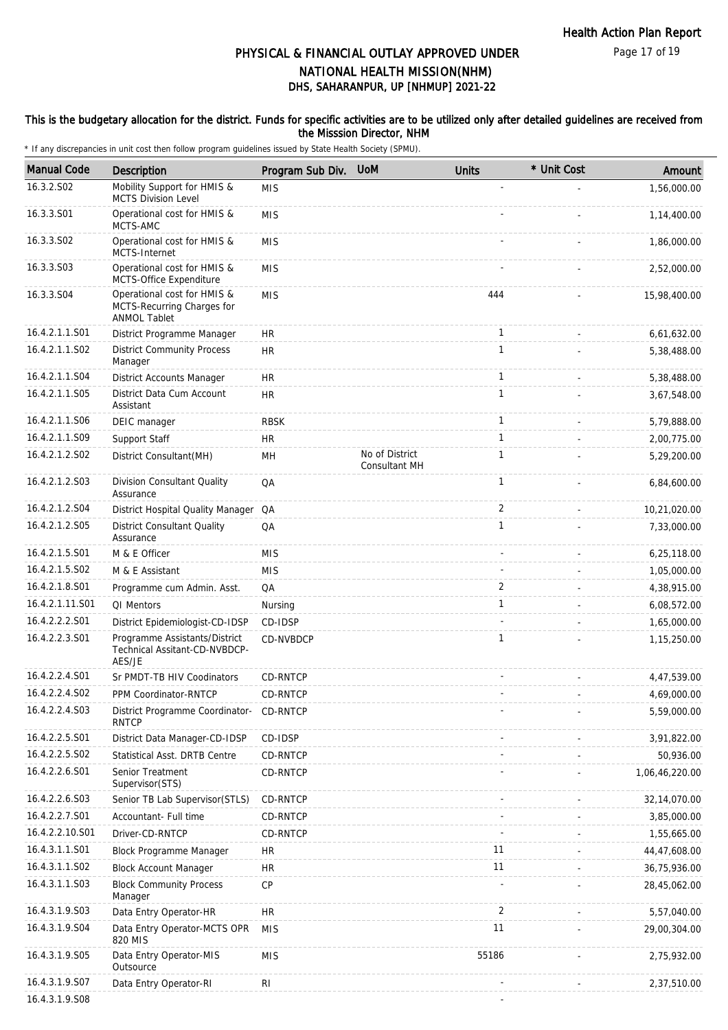Page 17 of 19

# DHS, SAHARANPUR, UP [NHMUP] 2021-22 PHYSICAL & FINANCIAL OUTLAY APPROVED UNDER NATIONAL HEALTH MISSION(NHM)

#### This is the budgetary allocation for the district. Funds for specific activities are to be utilized only after detailed guidelines are received from the Misssion Director, NHM

| <b>Manual Code</b> | Description                                                                      | Program Sub Div. | <b>UoM</b>                             | <b>Units</b> | * Unit Cost | Amount         |
|--------------------|----------------------------------------------------------------------------------|------------------|----------------------------------------|--------------|-------------|----------------|
| 16.3.2.S02         | Mobility Support for HMIS &<br><b>MCTS Division Level</b>                        | <b>MIS</b>       |                                        |              |             | 1,56,000.00    |
| 16.3.3.S01         | Operational cost for HMIS &<br>MCTS-AMC                                          | <b>MIS</b>       |                                        |              |             | 1,14,400.00    |
| 16.3.3.S02         | Operational cost for HMIS &<br>MCTS-Internet                                     | <b>MIS</b>       |                                        |              |             | 1,86,000.00    |
| 16.3.3.S03         | Operational cost for HMIS &<br>MCTS-Office Expenditure                           | <b>MIS</b>       |                                        |              |             | 2,52,000.00    |
| 16.3.3.S04         | Operational cost for HMIS &<br>MCTS-Recurring Charges for<br><b>ANMOL Tablet</b> | <b>MIS</b>       |                                        | 444          |             | 15,98,400.00   |
| 16.4.2.1.1.S01     | District Programme Manager                                                       | <b>HR</b>        |                                        | $\mathbf{1}$ |             | 6,61,632.00    |
| 16.4.2.1.1.S02     | <b>District Community Process</b><br>Manager                                     | <b>HR</b>        |                                        | $\mathbf{1}$ |             | 5,38,488.00    |
| 16.4.2.1.1.S04     | District Accounts Manager                                                        | <b>HR</b>        |                                        | $\mathbf{1}$ |             | 5,38,488.00    |
| 16.4.2.1.1.S05     | District Data Cum Account<br>Assistant                                           | <b>HR</b>        |                                        | $\mathbf{1}$ |             | 3,67,548.00    |
| 16.4.2.1.1.S06     | DEIC manager                                                                     | <b>RBSK</b>      |                                        | $\mathbf{1}$ |             | 5,79,888.00    |
| 16.4.2.1.1.S09     | Support Staff                                                                    | <b>HR</b>        |                                        | $\mathbf{1}$ |             | 2,00,775.00    |
| 16.4.2.1.2.S02     | District Consultant(MH)                                                          | MН               | No of District<br><b>Consultant MH</b> | 1            |             | 5,29,200.00    |
| 16.4.2.1.2.S03     | Division Consultant Quality<br>Assurance                                         | QA               |                                        | $\mathbf{1}$ |             | 6,84,600.00    |
| 16.4.2.1.2.S04     | District Hospital Quality Manager                                                | QA               |                                        | 2            |             | 10,21,020.00   |
| 16.4.2.1.2.S05     | <b>District Consultant Quality</b><br>Assurance                                  | QA               |                                        | $\mathbf{1}$ |             | 7,33,000.00    |
| 16.4.2.1.5.S01     | M & E Officer                                                                    | <b>MIS</b>       |                                        |              |             | 6,25,118.00    |
| 16.4.2.1.5.S02     | M & E Assistant                                                                  | <b>MIS</b>       |                                        |              |             | 1,05,000.00    |
| 16.4.2.1.8.S01     | Programme cum Admin. Asst.                                                       | QA               |                                        | 2            |             | 4,38,915.00    |
| 16.4.2.1.11.S01    | QI Mentors                                                                       | Nursing          |                                        | $\mathbf{1}$ |             | 6,08,572.00    |
| 16.4.2.2.2.S01     | District Epidemiologist-CD-IDSP                                                  | CD-IDSP          |                                        |              |             | 1,65,000.00    |
| 16.4.2.2.3.S01     | Programme Assistants/District<br>Technical Assitant-CD-NVBDCP-<br>AES/JE         | CD-NVBDCP        |                                        | 1            |             | 1,15,250.00    |
| 16.4.2.2.4.S01     | Sr PMDT-TB HIV Coodinators                                                       | CD-RNTCP         |                                        |              |             | 4,47,539.00    |
| 16.4.2.2.4.S02     | PPM Coordinator-RNTCP                                                            | CD-RNTCP         |                                        |              |             | 4,69,000.00    |
| 16.4.2.2.4.S03     | District Programme Coordinator-<br><b>RNTCP</b>                                  | CD-RNTCP         |                                        |              |             | 5,59,000.00    |
| 16.4.2.2.5.S01     | District Data Manager-CD-IDSP                                                    | CD-IDSP          |                                        |              |             | 3,91,822.00    |
| 16.4.2.2.5.S02     | Statistical Asst. DRTB Centre                                                    | CD-RNTCP         |                                        |              |             | 50,936.00      |
| 16.4.2.2.6.S01     | Senior Treatment<br>Supervisor(STS)                                              | CD-RNTCP         |                                        |              |             | 1,06,46,220.00 |
| 16.4.2.2.6.S03     | Senior TB Lab Supervisor (STLS)                                                  | CD-RNTCP         |                                        |              |             | 32,14,070.00   |
| 16.4.2.2.7.S01     | Accountant- Full time                                                            | CD-RNTCP         |                                        |              |             | 3,85,000.00    |
| 16.4.2.2.10.S01    | Driver-CD-RNTCP                                                                  | CD-RNTCP         |                                        |              |             | 1,55,665.00    |
| 16.4.3.1.1.S01     | Block Programme Manager                                                          | <b>HR</b>        |                                        | 11           |             | 44,47,608.00   |
| 16.4.3.1.1.S02     | <b>Block Account Manager</b>                                                     | <b>HR</b>        |                                        | 11           |             | 36,75,936.00   |
| 16.4.3.1.1.S03     | <b>Block Community Process</b><br>Manager                                        | CP               |                                        |              |             | 28,45,062.00   |
| 16.4.3.1.9.S03     | Data Entry Operator-HR                                                           | <b>HR</b>        |                                        | 2            |             | 5,57,040.00    |
| 16.4.3.1.9.S04     | Data Entry Operator-MCTS OPR<br>820 MIS                                          | <b>MIS</b>       |                                        | 11           |             | 29,00,304.00   |
| 16.4.3.1.9.S05     | Data Entry Operator-MIS<br>Outsource                                             | <b>MIS</b>       |                                        | 55186        |             | 2,75,932.00    |
| 16.4.3.1.9.S07     | Data Entry Operator-RI                                                           | RI               |                                        |              |             | 2,37,510.00    |
| 16.4.3.1.9.S08     |                                                                                  |                  |                                        |              |             |                |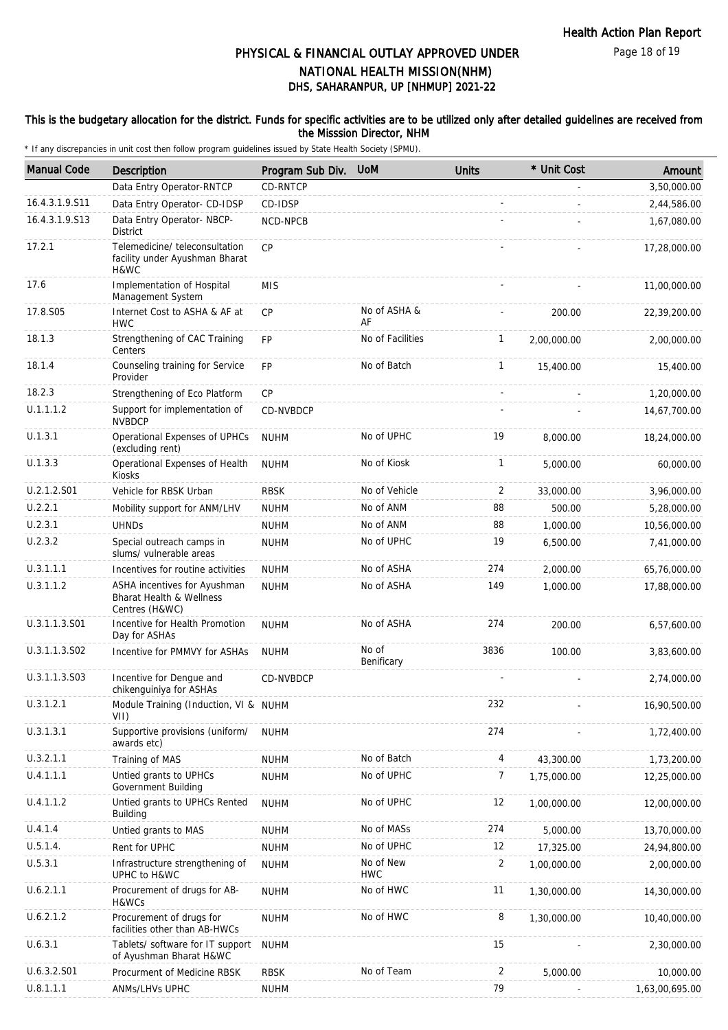Page 18 of 19

# DHS, SAHARANPUR, UP [NHMUP] 2021-22 PHYSICAL & FINANCIAL OUTLAY APPROVED UNDER NATIONAL HEALTH MISSION(NHM)

#### This is the budgetary allocation for the district. Funds for specific activities are to be utilized only after detailed guidelines are received from the Misssion Director, NHM

| <b>Manual Code</b> | <b>Description</b>                                                                    | Program Sub Div. | <b>UoM</b>              | <b>Units</b>   | * Unit Cost | Amount         |
|--------------------|---------------------------------------------------------------------------------------|------------------|-------------------------|----------------|-------------|----------------|
|                    | Data Entry Operator-RNTCP                                                             | CD-RNTCP         |                         |                |             | 3,50,000.00    |
| 16.4.3.1.9.S11     | Data Entry Operator- CD-IDSP                                                          | CD-IDSP          |                         |                |             | 2,44,586.00    |
| 16.4.3.1.9.S13     | Data Entry Operator- NBCP-<br><b>District</b>                                         | NCD-NPCB         |                         |                |             | 1,67,080.00    |
| 17.2.1             | Telemedicine/ teleconsultation<br>facility under Ayushman Bharat<br>H&WC              | CP               |                         |                |             | 17,28,000.00   |
| 17.6               | Implementation of Hospital<br>Management System                                       | <b>MIS</b>       |                         |                |             | 11,00,000.00   |
| 17.8.S05           | Internet Cost to ASHA & AF at<br><b>HWC</b>                                           | <b>CP</b>        | No of ASHA &<br>AF      |                | 200.00      | 22,39,200.00   |
| 18.1.3             | Strengthening of CAC Training<br>Centers                                              | <b>FP</b>        | No of Facilities        | 1              | 2,00,000.00 | 2,00,000.00    |
| 18.1.4             | Counseling training for Service<br>Provider                                           | <b>FP</b>        | No of Batch             | $\mathbf{1}$   | 15,400.00   | 15,400.00      |
| 18.2.3             | Strengthening of Eco Platform                                                         | <b>CP</b>        |                         |                |             | 1,20,000.00    |
| U.1.1.1.2          | Support for implementation of<br><b>NVBDCP</b>                                        | CD-NVBDCP        |                         |                |             | 14,67,700.00   |
| U.1.3.1            | Operational Expenses of UPHCs<br>(excluding rent)                                     | <b>NUHM</b>      | No of UPHC              | 19             | 8,000.00    | 18,24,000.00   |
| U.1.3.3            | Operational Expenses of Health<br>Kiosks                                              | <b>NUHM</b>      | No of Kiosk             | $\mathbf{1}$   | 5,000.00    | 60,000.00      |
| U.2.1.2.S01        | Vehicle for RBSK Urban                                                                | <b>RBSK</b>      | No of Vehicle           | 2              | 33,000.00   | 3,96,000.00    |
| U.2.2.1            | Mobility support for ANM/LHV                                                          | <b>NUHM</b>      | No of ANM               | 88             | 500.00      | 5,28,000.00    |
| U.2.3.1            | <b>UHNDs</b>                                                                          | <b>NUHM</b>      | No of ANM               | 88             | 1,000.00    | 10,56,000.00   |
| U.2.3.2            | Special outreach camps in<br>slums/ vulnerable areas                                  | <b>NUHM</b>      | No of UPHC              | 19             | 6,500.00    | 7,41,000.00    |
| U.3.1.1.1          | Incentives for routine activities                                                     | <b>NUHM</b>      | No of ASHA              | 274            | 2,000.00    | 65,76,000.00   |
| U.3.1.1.2          | ASHA incentives for Ayushman<br><b>Bharat Health &amp; Wellness</b><br>Centres (H&WC) | <b>NUHM</b>      | No of ASHA              | 149            | 1,000.00    | 17,88,000.00   |
| U.3.1.1.3.S01      | Incentive for Health Promotion<br>Day for ASHAs                                       | <b>NUHM</b>      | No of ASHA              | 274            | 200.00      | 6,57,600.00    |
| U.3.1.1.3.S02      | Incentive for PMMVY for ASHAs                                                         | <b>NUHM</b>      | No of<br>Benificary     | 3836           | 100.00      | 3,83,600.00    |
| U.3.1.1.3.S03      | Incentive for Dengue and<br>chikenguiniya for ASHAs                                   | CD-NVBDCP        |                         |                |             | 2,74,000.00    |
| U.3.1.2.1          | Module Training (Induction, VI & NUHM<br>VII)                                         |                  |                         | 232            |             | 16,90,500.00   |
| U.3.1.3.1          | Supportive provisions (uniform/<br>awards etc)                                        | <b>NUHM</b>      |                         | 274            |             | 1,72,400.00    |
| U.3.2.1.1          | Training of MAS                                                                       | <b>NUHM</b>      | No of Batch             | 4              | 43,300.00   | 1,73,200.00    |
| U.4.1.1.1          | Untied grants to UPHCs<br>Government Building                                         | <b>NUHM</b>      | No of UPHC              | 7              | 1,75,000.00 | 12,25,000.00   |
| U.4.1.1.2          | Untied grants to UPHCs Rented<br>Building                                             | <b>NUHM</b>      | No of UPHC              | 12             | 1,00,000.00 | 12,00,000.00   |
| U.4.1.4            | Untied grants to MAS                                                                  | <b>NUHM</b>      | No of MASs              | 274            | 5,000.00    | 13,70,000.00   |
| U.5.1.4.           | Rent for UPHC                                                                         | <b>NUHM</b>      | No of UPHC              | 12             | 17,325.00   | 24,94,800.00   |
| U.5.3.1            | Infrastructure strengthening of<br>UPHC to H&WC                                       | <b>NUHM</b>      | No of New<br><b>HWC</b> | $\overline{2}$ | 1,00,000.00 | 2,00,000.00    |
| U.6.2.1.1          | Procurement of drugs for AB-<br>H&WCs                                                 | <b>NUHM</b>      | No of HWC               | 11             | 1,30,000.00 | 14,30,000.00   |
| U.6.2.1.2          | Procurement of drugs for<br>facilities other than AB-HWCs                             | <b>NUHM</b>      | No of HWC               | 8              | 1,30,000.00 | 10,40,000.00   |
| U.6.3.1            | Tablets/ software for IT support<br>of Ayushman Bharat H&WC                           | <b>NUHM</b>      |                         | 15             |             | 2,30,000.00    |
| U.6.3.2.S01        | Procurment of Medicine RBSK                                                           | <b>RBSK</b>      | No of Team              | 2              | 5,000.00    | 10,000.00      |
| U.8.1.1.1          | ANMs/LHVs UPHC                                                                        | <b>NUHM</b>      |                         | 79             |             | 1,63,00,695.00 |